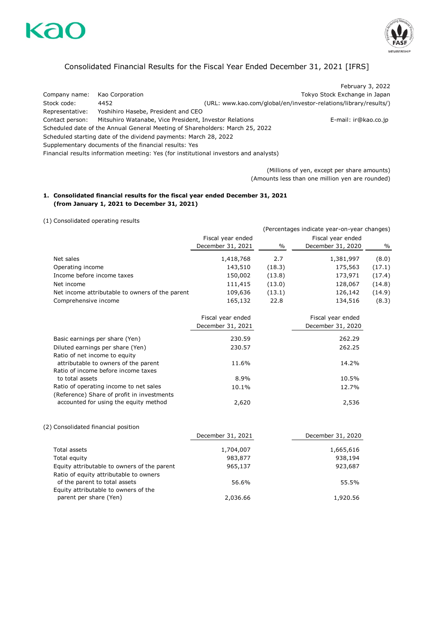



# Consolidated Financial Results for the Fiscal Year Ended December 31, 2021 [IFRS]

Company name: Kao Corporation Tokyo Stock Exchange in Japan Stock code: 4452 (URL: www.kao.com/global/en/investor-relations/library/results/) Representative: Yoshihiro Hasebe, President and CEO Contact person: Mitsuhiro Watanabe, Vice President, Investor Relations Franchildens E-mail: ir@kao.co.jp Scheduled date of the Annual General Meeting of Shareholders: March 25, 2022 Scheduled starting date of the dividend payments: March 28, 2022 Supplementary documents of the financial results: Yes Financial results information meeting: Yes (for institutional investors and analysts) February 3, 2022

> (Millions of yen, except per share amounts) (Amounts less than one million yen are rounded)

2,620 2,536

## **1. Consolidated financial results for the fiscal year ended December 31, 2021 (from January 1, 2021 to December 31, 2021)**

#### (1) Consolidated operating results

|                                                 |                   |        | (Percentages indicate year-on-year changes) |        |
|-------------------------------------------------|-------------------|--------|---------------------------------------------|--------|
|                                                 | Fiscal year ended |        | Fiscal year ended                           |        |
|                                                 | December 31, 2021 | $\%$   | December 31, 2020                           | $\%$   |
| Net sales                                       | 1,418,768         | 2.7    | 1,381,997                                   | (8.0)  |
| Operating income                                | 143,510           | (18.3) | 175,563                                     | (17.1) |
| Income before income taxes                      | 150,002           | (13.8) | 173,971                                     | (17.4) |
| Net income                                      | 111,415           | (13.0) | 128,067                                     | (14.8) |
| Net income attributable to owners of the parent | 109,636           | (13.1) | 126,142                                     | (14.9) |
| Comprehensive income                            | 165,132           | 22.8   | 134,516                                     | (8.3)  |
|                                                 | Fiscal year ended |        | Fiscal year ended                           |        |
|                                                 | December 31, 2021 |        | December 31, 2020                           |        |
| Basic earnings per share (Yen)                  | 230.59            |        | 262.29                                      |        |
| Diluted earnings per share (Yen)                | 230.57            |        | 262.25                                      |        |
| Ratio of net income to equity                   |                   |        |                                             |        |
| attributable to owners of the parent            | 11.6%             |        | 14.2%                                       |        |
| Ratio of income before income taxes             |                   |        |                                             |        |
| to total assets                                 | 8.9%              |        | 10.5%                                       |        |
| Ratio of operating income to net sales          | 10.1%             |        | 12.7%                                       |        |
| (Reference) Share of profit in investments      |                   |        |                                             |        |

#### (2) Consolidated financial position

accounted for using the equity method

|                                                                         | December 31, 2021 | December 31, 2020 |
|-------------------------------------------------------------------------|-------------------|-------------------|
| Total assets                                                            | 1,704,007         | 1,665,616         |
| Total equity                                                            | 983,877           | 938,194           |
| Equity attributable to owners of the parent                             | 965,137           | 923,687           |
| Ratio of equity attributable to owners<br>of the parent to total assets | 56.6%             | 55.5%             |
| Equity attributable to owners of the<br>parent per share (Yen)          | 2,036.66          | 1,920.56          |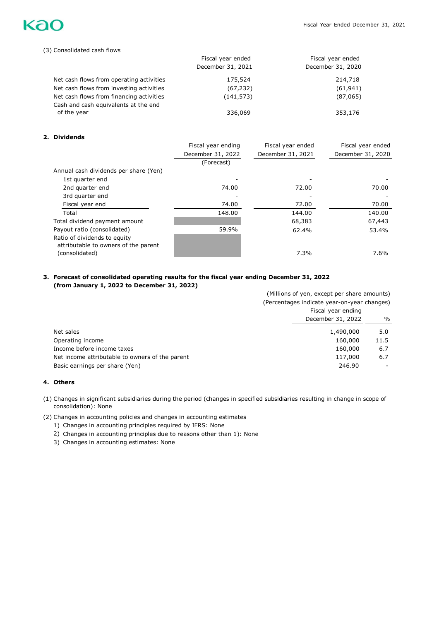

#### (3) Consolidated cash flows

|                                          | Fiscal year ended | Fiscal year ended |
|------------------------------------------|-------------------|-------------------|
|                                          | December 31, 2021 | December 31, 2020 |
| Net cash flows from operating activities | 175,524           | 214,718           |
| Net cash flows from investing activities | (67, 232)         | (61, 941)         |
| Net cash flows from financing activities | (141, 573)        | (87,065)          |
| Cash and cash equivalents at the end     |                   |                   |
| of the year                              | 336,069           | 353,176           |

#### **2. Dividends**

|                                                                      | Fiscal year ending | Fiscal year ended | Fiscal year ended |
|----------------------------------------------------------------------|--------------------|-------------------|-------------------|
|                                                                      | December 31, 2022  | December 31, 2021 | December 31, 2020 |
|                                                                      | (Forecast)         |                   |                   |
| Annual cash dividends per share (Yen)                                |                    |                   |                   |
| 1st quarter end                                                      |                    |                   |                   |
| 2nd quarter end                                                      | 74.00              | 72.00             | 70.00             |
| 3rd quarter end                                                      |                    |                   |                   |
| Fiscal year end                                                      | 74.00              | 72.00             | 70.00             |
| Total                                                                | 148.00             | 144.00            | 140.00            |
| Total dividend payment amount                                        |                    | 68,383            | 67,443            |
| Payout ratio (consolidated)                                          | 59.9%              | 62.4%             | 53.4%             |
| Ratio of dividends to equity<br>attributable to owners of the parent |                    |                   |                   |
| (consolidated)                                                       |                    | 7.3%              | 7.6%              |

#### **3. Forecast of consolidated operating results for the fiscal year ending December 31, 2022 (from January 1, 2022 to December 31, 2022)**

|                                                 | (Millions of yen, except per share amounts) |      |  |
|-------------------------------------------------|---------------------------------------------|------|--|
|                                                 | (Percentages indicate year-on-year changes) |      |  |
|                                                 | Fiscal year ending                          |      |  |
|                                                 | December 31, 2022                           | %    |  |
| Net sales                                       | 1,490,000                                   | 5.0  |  |
| Operating income                                | 160,000                                     | 11.5 |  |
| Income before income taxes                      | 160,000                                     | 6.7  |  |
| Net income attributable to owners of the parent | 117,000                                     | 6.7  |  |
| Basic earnings per share (Yen)                  | 246.90                                      |      |  |
|                                                 |                                             |      |  |

#### **4. Others**

(1) Changes in significant subsidiaries during the period (changes in specified subsidiaries resulting in change in scope of consolidation): None

(2) Changes in accounting policies and changes in accounting estimates

- 1) Changes in accounting principles required by IFRS: None
- 2) Changes in accounting principles due to reasons other than 1): None
- 3) Changes in accounting estimates: None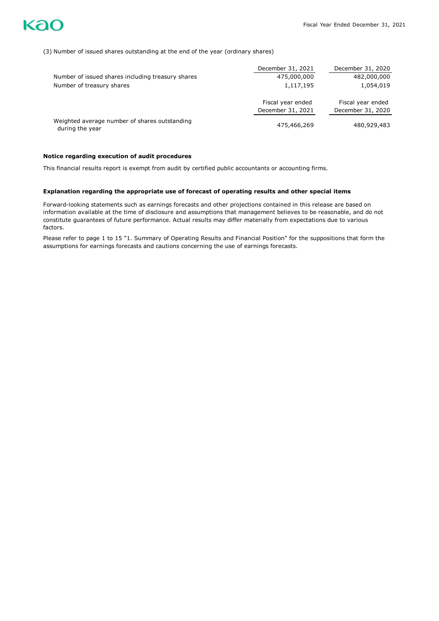

#### (3) Number of issued shares outstanding at the end of the year (ordinary shares)

|                                                                  | December 31, 2021 | December 31, 2020 |
|------------------------------------------------------------------|-------------------|-------------------|
| Number of issued shares including treasury shares                | 475,000,000       | 482,000,000       |
| Number of treasury shares                                        | 1,117,195         | 1,054,019         |
|                                                                  | Fiscal year ended | Fiscal year ended |
|                                                                  | December 31, 2021 | December 31, 2020 |
| Weighted average number of shares outstanding<br>during the year | 475,466,269       | 480,929,483       |

#### **Notice regarding execution of audit procedures**

This financial results report is exempt from audit by certified public accountants or accounting firms.

#### **Explanation regarding the appropriate use of forecast of operating results and other special items**

Forward-looking statements such as earnings forecasts and other projections contained in this release are based on information available at the time of disclosure and assumptions that management believes to be reasonable, and do not constitute guarantees of future performance. Actual results may differ materially from expectations due to various factors.

Please refer to page 1 to 15 "1. Summary of Operating Results and Financial Position" for the suppositions that form the assumptions for earnings forecasts and cautions concerning the use of earnings forecasts.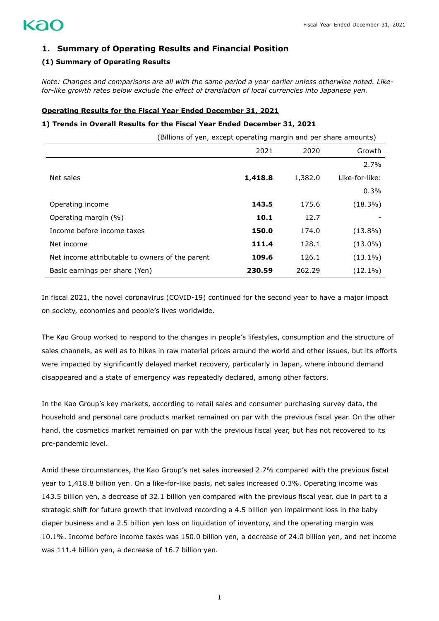# **1. Summary of Operating Results and Financial Position**

## **(1) Summary of Operating Results**

*Note: Changes and comparisons are all with the same period a year earlier unless otherwise noted. Likefor-like growth rates below exclude the effect of translation of local currencies into Japanese yen.* 

#### **Operating Results for the Fiscal Year Ended December 31, 2021**

#### **1) Trends in Overall Results for the Fiscal Year Ended December 31, 2021**

(Billions of yen, except operating margin and per share amounts)

|                                                 | 2021    | 2020    | Growth         |
|-------------------------------------------------|---------|---------|----------------|
|                                                 |         |         | 2.7%           |
| Net sales                                       | 1,418.8 | 1,382.0 | Like-for-like: |
|                                                 |         |         | 0.3%           |
| Operating income                                | 143.5   | 175.6   | $(18.3\%)$     |
| Operating margin (%)                            | 10.1    | 12.7    |                |
| Income before income taxes                      | 150.0   | 174.0   | $(13.8\%)$     |
| Net income                                      | 111.4   | 128.1   | $(13.0\%)$     |
| Net income attributable to owners of the parent | 109.6   | 126.1   | $(13.1\%)$     |
| Basic earnings per share (Yen)                  | 230.59  | 262.29  | $(12.1\%)$     |

In fiscal 2021, the novel coronavirus (COVID-19) continued for the second year to have a major impact on society, economies and people's lives worldwide.

The Kao Group worked to respond to the changes in people's lifestyles, consumption and the structure of sales channels, as well as to hikes in raw material prices around the world and other issues, but its efforts were impacted by significantly delayed market recovery, particularly in Japan, where inbound demand disappeared and a state of emergency was repeatedly declared, among other factors.

In the Kao Group's key markets, according to retail sales and consumer purchasing survey data, the household and personal care products market remained on par with the previous fiscal year. On the other hand, the cosmetics market remained on par with the previous fiscal year, but has not recovered to its pre-pandemic level.

Amid these circumstances, the Kao Group's net sales increased 2.7% compared with the previous fiscal year to 1,418.8 billion yen. On a like-for-like basis, net sales increased 0.3%. Operating income was 143.5 billion yen, a decrease of 32.1 billion yen compared with the previous fiscal year, due in part to a strategic shift for future growth that involved recording a 4.5 billion yen impairment loss in the baby diaper business and a 2.5 billion yen loss on liquidation of inventory, and the operating margin was 10.1%. Income before income taxes was 150.0 billion yen, a decrease of 24.0 billion yen, and net income was 111.4 billion yen, a decrease of 16.7 billion yen.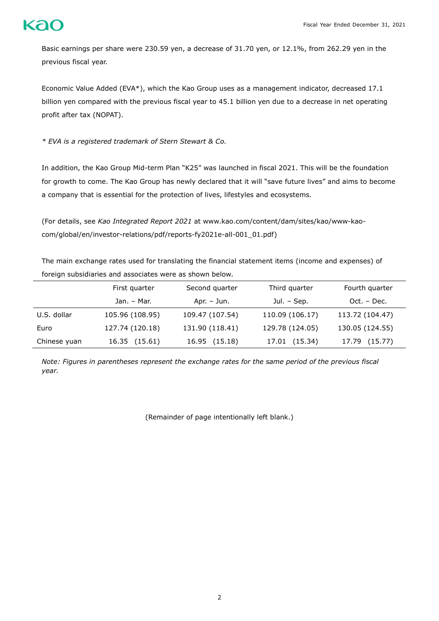

Basic earnings per share were 230.59 yen, a decrease of 31.70 yen, or 12.1%, from 262.29 yen in the previous fiscal year.

Economic Value Added (EVA\*), which the Kao Group uses as a management indicator, decreased 17.1 billion yen compared with the previous fiscal year to 45.1 billion yen due to a decrease in net operating profit after tax (NOPAT).

*\* EVA is a registered trademark of Stern Stewart & Co.*

In addition, the Kao Group Mid-term Plan "K25" was launched in fiscal 2021. This will be the foundation for growth to come. The Kao Group has newly declared that it will "save future lives" and aims to become a company that is essential for the protection of lives, lifestyles and ecosystems.

(For details, see *Kao Integrated Report 2021* at www.kao.com/content/dam/sites/kao/www-kaocom/global/en/investor-relations/pdf/reports-fy2021e-all-001\_01.pdf)

The main exchange rates used for translating the financial statement items (income and expenses) of foreign subsidiaries and associates were as shown below.

|              | First quarter   | Second quarter  | Third quarter   | Fourth quarter  |
|--------------|-----------------|-----------------|-----------------|-----------------|
|              | Jan. - Mar.     | $Apr. - Jun.$   | Jul. $-$ Sep.   | Oct. - Dec.     |
| U.S. dollar  | 105.96 (108.95) | 109.47 (107.54) | 110.09 (106.17) | 113.72 (104.47) |
| Euro         | 127.74 (120.18) | 131.90 (118.41) | 129.78 (124.05) | 130.05 (124.55) |
| Chinese yuan | 16.35 (15.61)   | 16.95 (15.18)   | 17.01 (15.34)   | 17.79 (15.77)   |

*Note: Figures in parentheses represent the exchange rates for the same period of the previous fiscal year.*

(Remainder of page intentionally left blank.)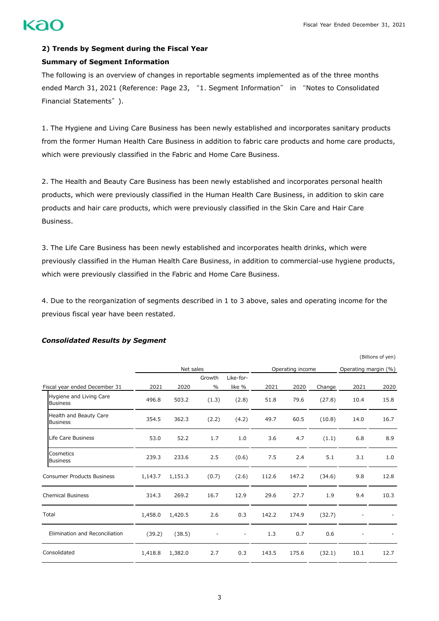(Billions of yen)

# **2) Trends by Segment during the Fiscal Year Summary of Segment Information**

The following is an overview of changes in reportable segments implemented as of the three months ended March 31, 2021 (Reference: Page 23, "1. Segment Information" in "Notes to Consolidated Financial Statements").

1. The Hygiene and Living Care Business has been newly established and incorporates sanitary products from the former Human Health Care Business in addition to fabric care products and home care products, which were previously classified in the Fabric and Home Care Business.

2. The Health and Beauty Care Business has been newly established and incorporates personal health products, which were previously classified in the Human Health Care Business, in addition to skin care products and hair care products, which were previously classified in the Skin Care and Hair Care Business.

3. The Life Care Business has been newly established and incorporates health drinks, which were previously classified in the Human Health Care Business, in addition to commercial-use hygiene products, which were previously classified in the Fabric and Home Care Business.

4. Due to the reorganization of segments described in 1 to 3 above, sales and operating income for the previous fiscal year have been restated.

|                                            | Net sales |         |                          | Operating income         |       |       | Operating margin (%) |      |      |
|--------------------------------------------|-----------|---------|--------------------------|--------------------------|-------|-------|----------------------|------|------|
|                                            |           |         | Growth                   | Like-for-                |       |       |                      |      |      |
| Fiscal year ended December 31              | 2021      | 2020    | $\%$                     | like %                   | 2021  | 2020  | Change               | 2021 | 2020 |
| Hygiene and Living Care<br><b>Business</b> | 496.8     | 503.2   | (1.3)                    | (2.8)                    | 51.8  | 79.6  | (27.8)               | 10.4 | 15.8 |
| Health and Beauty Care<br><b>Business</b>  | 354.5     | 362.3   | (2.2)                    | (4.2)                    | 49.7  | 60.5  | (10.8)               | 14.0 | 16.7 |
| <b>Life Care Business</b>                  | 53.0      | 52.2    | 1.7                      | 1.0                      | 3.6   | 4.7   | (1.1)                | 6.8  | 8.9  |
| Cosmetics<br><b>Business</b>               | 239.3     | 233.6   | 2.5                      | (0.6)                    | 7.5   | 2.4   | 5.1                  | 3.1  | 1.0  |
| <b>Consumer Products Business</b>          | 1,143.7   | 1,151.3 | (0.7)                    | (2.6)                    | 112.6 | 147.2 | (34.6)               | 9.8  | 12.8 |
| <b>Chemical Business</b>                   | 314.3     | 269.2   | 16.7                     | 12.9                     | 29.6  | 27.7  | 1.9                  | 9.4  | 10.3 |
| Total                                      | 1,458.0   | 1,420.5 | 2.6                      | 0.3                      | 142.2 | 174.9 | (32.7)               |      |      |
| Elimination and Reconciliation             | (39.2)    | (38.5)  | $\overline{\phantom{a}}$ | $\overline{\phantom{a}}$ | 1.3   | 0.7   | 0.6                  | ۰    |      |
| Consolidated                               | 1,418.8   | 1,382.0 | 2.7                      | 0.3                      | 143.5 | 175.6 | (32.1)               | 10.1 | 12.7 |

## *Consolidated Results by Segment*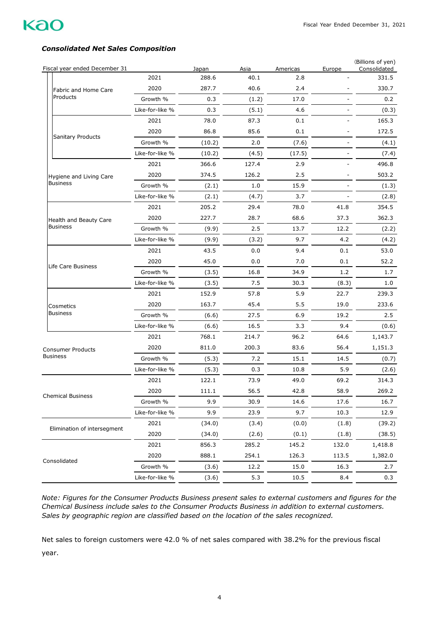# *Consolidated Net Sales Composition*

| 2021<br>288.6<br>40.1<br>2.8<br>2020<br>287.7<br>40.6<br>2.4<br>Fabric and Home Care<br>Products<br>Growth %<br>0.3<br>17.0<br>(1.2)<br>Like-for-like %<br>0.3<br>4.6<br>(5.1)<br>2021<br>78.0<br>87.3<br>0.1<br>2020<br>86.8<br>85.6<br>0.1<br>Sanitary Products<br>Growth %<br>2.0<br>(7.6)<br>(10.2)<br>Like-for-like %<br>(10.2)<br>(4.5)<br>(17.5)<br>2021<br>2.9<br>366.6<br>127.4<br>2020<br>374.5<br>126.2<br>2.5<br>Hygiene and Living Care<br><b>Business</b><br>Growth %<br>15.9<br>1.0<br>(2.1)<br>3.7<br>Like-for-like %<br>(4.7)<br>(2.1)<br>2021<br>205.2<br>29.4<br>78.0<br>41.8<br>2020<br>227.7<br>28.7<br>68.6<br>37.3<br>Health and Beauty Care<br><b>Business</b><br>Growth %<br>2.5<br>13.7<br>12.2<br>(9.9)<br>9.7<br>4.2<br>Like-for-like %<br>(9.9)<br>(3.2)<br>2021<br>43.5<br>0.0<br>9.4<br>0.1<br>2020<br>45.0<br>7.0<br>0.1<br>0.0<br>Life Care Business<br>Growth %<br>(3.5)<br>16.8<br>34.9<br>1.2<br>7.5<br>Like-for-like %<br>(3.5)<br>30.3<br>(8.3)<br>5.9<br>2021<br>57.8<br>22.7<br>152.9<br>2020<br>163.7<br>45.4<br>5.5<br>19.0<br>Cosmetics<br><b>Business</b><br>19.2<br>Growth %<br>(6.6)<br>27.5<br>6.9<br>Like-for-like %<br>16.5<br>3.3<br>9.4<br>(6.6)<br>2021<br>768.1<br>96.2<br>64.6<br>214.7<br>2020<br>811.0<br>200.3<br>83.6<br>56.4<br><b>Consumer Products</b><br><b>Business</b><br>Growth %<br>7.2<br>15.1<br>14.5<br>(5.3)<br>5.9<br>Like-for-like %<br>(5.3)<br>0.3<br>10.8<br>2021<br>122.1<br>73.9<br>49.0<br>69.2<br>2020<br>56.5<br>42.8<br>58.9<br>111.1<br><b>Chemical Business</b><br>Growth %<br>9.9<br>30.9<br>14.6<br>17.6<br>Like-for-like %<br>9.9<br>9.7<br>10.3<br>23.9<br>2021<br>(34.0)<br>(0.0)<br>(1.8)<br>(3.4)<br>Elimination of intersegment<br>2020<br>(34.0)<br>(2.6)<br>(0.1)<br>(1.8)<br>2021<br>285.2<br>145.2<br>856.3<br>132.0<br>2020<br>888.1<br>254.1<br>126.3<br>113.5<br>Consolidated<br>15.0<br>Growth %<br>(3.6)<br>12.2<br>16.3 | Fiscal year ended December 31 |                 | Japan | Asia | Americas | Europe | (Billions of yen)<br>Consolidated |
|------------------------------------------------------------------------------------------------------------------------------------------------------------------------------------------------------------------------------------------------------------------------------------------------------------------------------------------------------------------------------------------------------------------------------------------------------------------------------------------------------------------------------------------------------------------------------------------------------------------------------------------------------------------------------------------------------------------------------------------------------------------------------------------------------------------------------------------------------------------------------------------------------------------------------------------------------------------------------------------------------------------------------------------------------------------------------------------------------------------------------------------------------------------------------------------------------------------------------------------------------------------------------------------------------------------------------------------------------------------------------------------------------------------------------------------------------------------------------------------------------------------------------------------------------------------------------------------------------------------------------------------------------------------------------------------------------------------------------------------------------------------------------------------------------------------------------------------------------------------------------------------------------------------------------|-------------------------------|-----------------|-------|------|----------|--------|-----------------------------------|
|                                                                                                                                                                                                                                                                                                                                                                                                                                                                                                                                                                                                                                                                                                                                                                                                                                                                                                                                                                                                                                                                                                                                                                                                                                                                                                                                                                                                                                                                                                                                                                                                                                                                                                                                                                                                                                                                                                                              |                               |                 |       |      |          |        | 331.5                             |
|                                                                                                                                                                                                                                                                                                                                                                                                                                                                                                                                                                                                                                                                                                                                                                                                                                                                                                                                                                                                                                                                                                                                                                                                                                                                                                                                                                                                                                                                                                                                                                                                                                                                                                                                                                                                                                                                                                                              |                               |                 |       |      |          |        | 330.7                             |
|                                                                                                                                                                                                                                                                                                                                                                                                                                                                                                                                                                                                                                                                                                                                                                                                                                                                                                                                                                                                                                                                                                                                                                                                                                                                                                                                                                                                                                                                                                                                                                                                                                                                                                                                                                                                                                                                                                                              |                               |                 |       |      |          |        | 0.2                               |
|                                                                                                                                                                                                                                                                                                                                                                                                                                                                                                                                                                                                                                                                                                                                                                                                                                                                                                                                                                                                                                                                                                                                                                                                                                                                                                                                                                                                                                                                                                                                                                                                                                                                                                                                                                                                                                                                                                                              |                               |                 |       |      |          |        | (0.3)                             |
|                                                                                                                                                                                                                                                                                                                                                                                                                                                                                                                                                                                                                                                                                                                                                                                                                                                                                                                                                                                                                                                                                                                                                                                                                                                                                                                                                                                                                                                                                                                                                                                                                                                                                                                                                                                                                                                                                                                              |                               |                 |       |      |          |        | 165.3                             |
|                                                                                                                                                                                                                                                                                                                                                                                                                                                                                                                                                                                                                                                                                                                                                                                                                                                                                                                                                                                                                                                                                                                                                                                                                                                                                                                                                                                                                                                                                                                                                                                                                                                                                                                                                                                                                                                                                                                              |                               |                 |       |      |          |        | 172.5                             |
|                                                                                                                                                                                                                                                                                                                                                                                                                                                                                                                                                                                                                                                                                                                                                                                                                                                                                                                                                                                                                                                                                                                                                                                                                                                                                                                                                                                                                                                                                                                                                                                                                                                                                                                                                                                                                                                                                                                              |                               |                 |       |      |          |        | (4.1)                             |
|                                                                                                                                                                                                                                                                                                                                                                                                                                                                                                                                                                                                                                                                                                                                                                                                                                                                                                                                                                                                                                                                                                                                                                                                                                                                                                                                                                                                                                                                                                                                                                                                                                                                                                                                                                                                                                                                                                                              |                               |                 |       |      |          |        | (7.4)                             |
|                                                                                                                                                                                                                                                                                                                                                                                                                                                                                                                                                                                                                                                                                                                                                                                                                                                                                                                                                                                                                                                                                                                                                                                                                                                                                                                                                                                                                                                                                                                                                                                                                                                                                                                                                                                                                                                                                                                              |                               |                 |       |      |          |        | 496.8                             |
|                                                                                                                                                                                                                                                                                                                                                                                                                                                                                                                                                                                                                                                                                                                                                                                                                                                                                                                                                                                                                                                                                                                                                                                                                                                                                                                                                                                                                                                                                                                                                                                                                                                                                                                                                                                                                                                                                                                              |                               |                 |       |      |          |        | 503.2                             |
|                                                                                                                                                                                                                                                                                                                                                                                                                                                                                                                                                                                                                                                                                                                                                                                                                                                                                                                                                                                                                                                                                                                                                                                                                                                                                                                                                                                                                                                                                                                                                                                                                                                                                                                                                                                                                                                                                                                              |                               |                 |       |      |          |        | (1.3)                             |
|                                                                                                                                                                                                                                                                                                                                                                                                                                                                                                                                                                                                                                                                                                                                                                                                                                                                                                                                                                                                                                                                                                                                                                                                                                                                                                                                                                                                                                                                                                                                                                                                                                                                                                                                                                                                                                                                                                                              |                               |                 |       |      |          |        | (2.8)                             |
|                                                                                                                                                                                                                                                                                                                                                                                                                                                                                                                                                                                                                                                                                                                                                                                                                                                                                                                                                                                                                                                                                                                                                                                                                                                                                                                                                                                                                                                                                                                                                                                                                                                                                                                                                                                                                                                                                                                              |                               |                 |       |      |          |        | 354.5                             |
|                                                                                                                                                                                                                                                                                                                                                                                                                                                                                                                                                                                                                                                                                                                                                                                                                                                                                                                                                                                                                                                                                                                                                                                                                                                                                                                                                                                                                                                                                                                                                                                                                                                                                                                                                                                                                                                                                                                              |                               |                 |       |      |          |        | 362.3                             |
|                                                                                                                                                                                                                                                                                                                                                                                                                                                                                                                                                                                                                                                                                                                                                                                                                                                                                                                                                                                                                                                                                                                                                                                                                                                                                                                                                                                                                                                                                                                                                                                                                                                                                                                                                                                                                                                                                                                              |                               |                 |       |      |          |        | (2.2)                             |
|                                                                                                                                                                                                                                                                                                                                                                                                                                                                                                                                                                                                                                                                                                                                                                                                                                                                                                                                                                                                                                                                                                                                                                                                                                                                                                                                                                                                                                                                                                                                                                                                                                                                                                                                                                                                                                                                                                                              |                               |                 |       |      |          |        | (4.2)                             |
|                                                                                                                                                                                                                                                                                                                                                                                                                                                                                                                                                                                                                                                                                                                                                                                                                                                                                                                                                                                                                                                                                                                                                                                                                                                                                                                                                                                                                                                                                                                                                                                                                                                                                                                                                                                                                                                                                                                              |                               |                 |       |      |          |        | 53.0                              |
|                                                                                                                                                                                                                                                                                                                                                                                                                                                                                                                                                                                                                                                                                                                                                                                                                                                                                                                                                                                                                                                                                                                                                                                                                                                                                                                                                                                                                                                                                                                                                                                                                                                                                                                                                                                                                                                                                                                              |                               |                 |       |      |          |        | 52.2                              |
|                                                                                                                                                                                                                                                                                                                                                                                                                                                                                                                                                                                                                                                                                                                                                                                                                                                                                                                                                                                                                                                                                                                                                                                                                                                                                                                                                                                                                                                                                                                                                                                                                                                                                                                                                                                                                                                                                                                              |                               |                 |       |      |          |        | 1.7                               |
|                                                                                                                                                                                                                                                                                                                                                                                                                                                                                                                                                                                                                                                                                                                                                                                                                                                                                                                                                                                                                                                                                                                                                                                                                                                                                                                                                                                                                                                                                                                                                                                                                                                                                                                                                                                                                                                                                                                              |                               |                 |       |      |          |        | 1.0                               |
|                                                                                                                                                                                                                                                                                                                                                                                                                                                                                                                                                                                                                                                                                                                                                                                                                                                                                                                                                                                                                                                                                                                                                                                                                                                                                                                                                                                                                                                                                                                                                                                                                                                                                                                                                                                                                                                                                                                              |                               |                 |       |      |          |        | 239.3                             |
|                                                                                                                                                                                                                                                                                                                                                                                                                                                                                                                                                                                                                                                                                                                                                                                                                                                                                                                                                                                                                                                                                                                                                                                                                                                                                                                                                                                                                                                                                                                                                                                                                                                                                                                                                                                                                                                                                                                              |                               |                 |       |      |          |        | 233.6                             |
|                                                                                                                                                                                                                                                                                                                                                                                                                                                                                                                                                                                                                                                                                                                                                                                                                                                                                                                                                                                                                                                                                                                                                                                                                                                                                                                                                                                                                                                                                                                                                                                                                                                                                                                                                                                                                                                                                                                              |                               |                 |       |      |          |        | 2.5                               |
|                                                                                                                                                                                                                                                                                                                                                                                                                                                                                                                                                                                                                                                                                                                                                                                                                                                                                                                                                                                                                                                                                                                                                                                                                                                                                                                                                                                                                                                                                                                                                                                                                                                                                                                                                                                                                                                                                                                              |                               |                 |       |      |          |        | (0.6)                             |
|                                                                                                                                                                                                                                                                                                                                                                                                                                                                                                                                                                                                                                                                                                                                                                                                                                                                                                                                                                                                                                                                                                                                                                                                                                                                                                                                                                                                                                                                                                                                                                                                                                                                                                                                                                                                                                                                                                                              |                               |                 |       |      |          |        | 1,143.7                           |
|                                                                                                                                                                                                                                                                                                                                                                                                                                                                                                                                                                                                                                                                                                                                                                                                                                                                                                                                                                                                                                                                                                                                                                                                                                                                                                                                                                                                                                                                                                                                                                                                                                                                                                                                                                                                                                                                                                                              |                               |                 |       |      |          |        | 1,151.3                           |
|                                                                                                                                                                                                                                                                                                                                                                                                                                                                                                                                                                                                                                                                                                                                                                                                                                                                                                                                                                                                                                                                                                                                                                                                                                                                                                                                                                                                                                                                                                                                                                                                                                                                                                                                                                                                                                                                                                                              |                               |                 |       |      |          |        | (0.7)                             |
|                                                                                                                                                                                                                                                                                                                                                                                                                                                                                                                                                                                                                                                                                                                                                                                                                                                                                                                                                                                                                                                                                                                                                                                                                                                                                                                                                                                                                                                                                                                                                                                                                                                                                                                                                                                                                                                                                                                              |                               |                 |       |      |          |        | (2.6)                             |
|                                                                                                                                                                                                                                                                                                                                                                                                                                                                                                                                                                                                                                                                                                                                                                                                                                                                                                                                                                                                                                                                                                                                                                                                                                                                                                                                                                                                                                                                                                                                                                                                                                                                                                                                                                                                                                                                                                                              |                               |                 |       |      |          |        | 314.3                             |
|                                                                                                                                                                                                                                                                                                                                                                                                                                                                                                                                                                                                                                                                                                                                                                                                                                                                                                                                                                                                                                                                                                                                                                                                                                                                                                                                                                                                                                                                                                                                                                                                                                                                                                                                                                                                                                                                                                                              |                               |                 |       |      |          |        | 269.2                             |
|                                                                                                                                                                                                                                                                                                                                                                                                                                                                                                                                                                                                                                                                                                                                                                                                                                                                                                                                                                                                                                                                                                                                                                                                                                                                                                                                                                                                                                                                                                                                                                                                                                                                                                                                                                                                                                                                                                                              |                               |                 |       |      |          |        | 16.7                              |
|                                                                                                                                                                                                                                                                                                                                                                                                                                                                                                                                                                                                                                                                                                                                                                                                                                                                                                                                                                                                                                                                                                                                                                                                                                                                                                                                                                                                                                                                                                                                                                                                                                                                                                                                                                                                                                                                                                                              |                               |                 |       |      |          |        | 12.9                              |
|                                                                                                                                                                                                                                                                                                                                                                                                                                                                                                                                                                                                                                                                                                                                                                                                                                                                                                                                                                                                                                                                                                                                                                                                                                                                                                                                                                                                                                                                                                                                                                                                                                                                                                                                                                                                                                                                                                                              |                               |                 |       |      |          |        | (39.2)                            |
|                                                                                                                                                                                                                                                                                                                                                                                                                                                                                                                                                                                                                                                                                                                                                                                                                                                                                                                                                                                                                                                                                                                                                                                                                                                                                                                                                                                                                                                                                                                                                                                                                                                                                                                                                                                                                                                                                                                              |                               |                 |       |      |          |        | (38.5)                            |
|                                                                                                                                                                                                                                                                                                                                                                                                                                                                                                                                                                                                                                                                                                                                                                                                                                                                                                                                                                                                                                                                                                                                                                                                                                                                                                                                                                                                                                                                                                                                                                                                                                                                                                                                                                                                                                                                                                                              |                               |                 |       |      |          |        | 1,418.8                           |
|                                                                                                                                                                                                                                                                                                                                                                                                                                                                                                                                                                                                                                                                                                                                                                                                                                                                                                                                                                                                                                                                                                                                                                                                                                                                                                                                                                                                                                                                                                                                                                                                                                                                                                                                                                                                                                                                                                                              |                               |                 |       |      |          |        | 1,382.0                           |
|                                                                                                                                                                                                                                                                                                                                                                                                                                                                                                                                                                                                                                                                                                                                                                                                                                                                                                                                                                                                                                                                                                                                                                                                                                                                                                                                                                                                                                                                                                                                                                                                                                                                                                                                                                                                                                                                                                                              |                               |                 |       |      |          |        | 2.7                               |
|                                                                                                                                                                                                                                                                                                                                                                                                                                                                                                                                                                                                                                                                                                                                                                                                                                                                                                                                                                                                                                                                                                                                                                                                                                                                                                                                                                                                                                                                                                                                                                                                                                                                                                                                                                                                                                                                                                                              |                               | Like-for-like % | (3.6) | 5.3  | 10.5     | 8.4    | 0.3                               |

*Note: Figures for the Consumer Products Business present sales to external customers and figures for the Chemical Business include sales to the Consumer Products Business in addition to external customers. Sales by geographic region are classified based on the location of the sales recognized.* 

Net sales to foreign customers were 42.0 % of net sales compared with 38.2% for the previous fiscal year.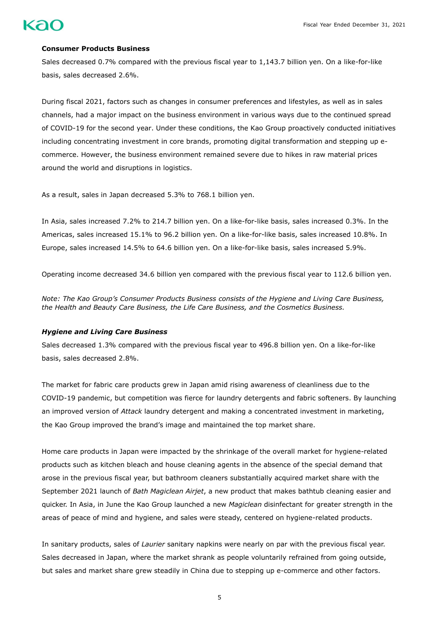

#### **Consumer Products Business**

Sales decreased 0.7% compared with the previous fiscal year to 1,143.7 billion yen. On a like-for-like basis, sales decreased 2.6%.

During fiscal 2021, factors such as changes in consumer preferences and lifestyles, as well as in sales channels, had a major impact on the business environment in various ways due to the continued spread of COVID-19 for the second year. Under these conditions, the Kao Group proactively conducted initiatives including concentrating investment in core brands, promoting digital transformation and stepping up ecommerce. However, the business environment remained severe due to hikes in raw material prices around the world and disruptions in logistics.

As a result, sales in Japan decreased 5.3% to 768.1 billion yen.

In Asia, sales increased 7.2% to 214.7 billion yen. On a like-for-like basis, sales increased 0.3%. In the Americas, sales increased 15.1% to 96.2 billion yen. On a like-for-like basis, sales increased 10.8%. In Europe, sales increased 14.5% to 64.6 billion yen. On a like-for-like basis, sales increased 5.9%.

Operating income decreased 34.6 billion yen compared with the previous fiscal year to 112.6 billion yen.

*Note: The Kao Group's Consumer Products Business consists of the Hygiene and Living Care Business, the Health and Beauty Care Business, the Life Care Business, and the Cosmetics Business.*

#### *Hygiene and Living Care Business*

Sales decreased 1.3% compared with the previous fiscal year to 496.8 billion yen. On a like-for-like basis, sales decreased 2.8%.

The market for fabric care products grew in Japan amid rising awareness of cleanliness due to the COVID-19 pandemic, but competition was fierce for laundry detergents and fabric softeners. By launching an improved version of *Attack* laundry detergent and making a concentrated investment in marketing, the Kao Group improved the brand's image and maintained the top market share.

Home care products in Japan were impacted by the shrinkage of the overall market for hygiene-related products such as kitchen bleach and house cleaning agents in the absence of the special demand that arose in the previous fiscal year, but bathroom cleaners substantially acquired market share with the September 2021 launch of *Bath Magiclean Airjet*, a new product that makes bathtub cleaning easier and quicker. In Asia, in June the Kao Group launched a new *Magiclean* disinfectant for greater strength in the areas of peace of mind and hygiene, and sales were steady, centered on hygiene-related products.

In sanitary products, sales of *Laurier* sanitary napkins were nearly on par with the previous fiscal year. Sales decreased in Japan, where the market shrank as people voluntarily refrained from going outside, but sales and market share grew steadily in China due to stepping up e-commerce and other factors.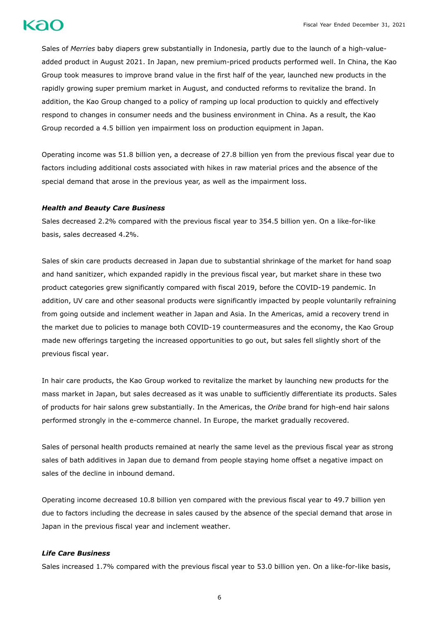Sales of *Merries* baby diapers grew substantially in Indonesia, partly due to the launch of a high-valueadded product in August 2021. In Japan, new premium-priced products performed well. In China, the Kao Group took measures to improve brand value in the first half of the year, launched new products in the rapidly growing super premium market in August, and conducted reforms to revitalize the brand. In addition, the Kao Group changed to a policy of ramping up local production to quickly and effectively respond to changes in consumer needs and the business environment in China. As a result, the Kao Group recorded a 4.5 billion yen impairment loss on production equipment in Japan.

Operating income was 51.8 billion yen, a decrease of 27.8 billion yen from the previous fiscal year due to factors including additional costs associated with hikes in raw material prices and the absence of the special demand that arose in the previous year, as well as the impairment loss.

## *Health and Beauty Care Business*

Sales decreased 2.2% compared with the previous fiscal year to 354.5 billion yen. On a like-for-like basis, sales decreased 4.2%.

Sales of skin care products decreased in Japan due to substantial shrinkage of the market for hand soap and hand sanitizer, which expanded rapidly in the previous fiscal year, but market share in these two product categories grew significantly compared with fiscal 2019, before the COVID-19 pandemic. In addition, UV care and other seasonal products were significantly impacted by people voluntarily refraining from going outside and inclement weather in Japan and Asia. In the Americas, amid a recovery trend in the market due to policies to manage both COVID-19 countermeasures and the economy, the Kao Group made new offerings targeting the increased opportunities to go out, but sales fell slightly short of the previous fiscal year.

In hair care products, the Kao Group worked to revitalize the market by launching new products for the mass market in Japan, but sales decreased as it was unable to sufficiently differentiate its products. Sales of products for hair salons grew substantially. In the Americas, the *Oribe* brand for high-end hair salons performed strongly in the e-commerce channel. In Europe, the market gradually recovered.

Sales of personal health products remained at nearly the same level as the previous fiscal year as strong sales of bath additives in Japan due to demand from people staying home offset a negative impact on sales of the decline in inbound demand.

Operating income decreased 10.8 billion yen compared with the previous fiscal year to 49.7 billion yen due to factors including the decrease in sales caused by the absence of the special demand that arose in Japan in the previous fiscal year and inclement weather.

## *Life Care Business*

Sales increased 1.7% compared with the previous fiscal year to 53.0 billion yen. On a like-for-like basis,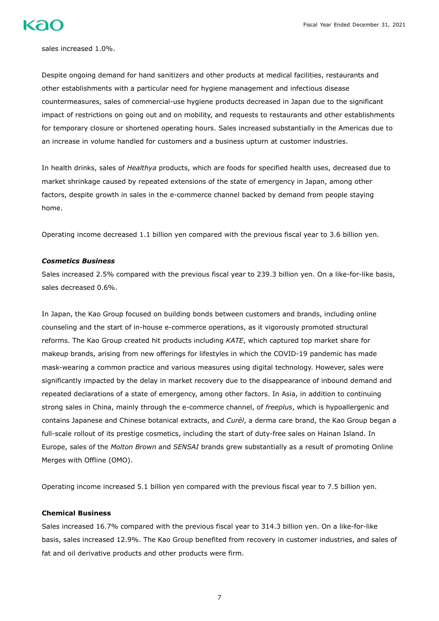

sales increased 1.0%.

Despite ongoing demand for hand sanitizers and other products at medical facilities, restaurants and other establishments with a particular need for hygiene management and infectious disease countermeasures, sales of commercial-use hygiene products decreased in Japan due to the significant impact of restrictions on going out and on mobility, and requests to restaurants and other establishments for temporary closure or shortened operating hours. Sales increased substantially in the Americas due to an increase in volume handled for customers and a business upturn at customer industries.

In health drinks, sales of *Healthya* products, which are foods for specified health uses, decreased due to market shrinkage caused by repeated extensions of the state of emergency in Japan, among other factors, despite growth in sales in the e-commerce channel backed by demand from people staying home.

Operating income decreased 1.1 billion yen compared with the previous fiscal year to 3.6 billion yen.

## *Cosmetics Business*

Sales increased 2.5% compared with the previous fiscal year to 239.3 billion yen. On a like-for-like basis, sales decreased 0.6%.

In Japan, the Kao Group focused on building bonds between customers and brands, including online counseling and the start of in-house e-commerce operations, as it vigorously promoted structural reforms. The Kao Group created hit products including *KATE*, which captured top market share for makeup brands, arising from new offerings for lifestyles in which the COVID-19 pandemic has made mask-wearing a common practice and various measures using digital technology. However, sales were significantly impacted by the delay in market recovery due to the disappearance of inbound demand and repeated declarations of a state of emergency, among other factors. In Asia, in addition to continuing strong sales in China, mainly through the e-commerce channel, of *freeplus*, which is hypoallergenic and contains Japanese and Chinese botanical extracts, and *Curél*, a derma care brand, the Kao Group began a full-scale rollout of its prestige cosmetics, including the start of duty-free sales on Hainan Island. In Europe, sales of the *Molton Brown* and *SENSAI* brands grew substantially as a result of promoting Online Merges with Offline (OMO).

Operating income increased 5.1 billion yen compared with the previous fiscal year to 7.5 billion yen.

### **Chemical Business**

Sales increased 16.7% compared with the previous fiscal year to 314.3 billion yen. On a like-for-like basis, sales increased 12.9%. The Kao Group benefited from recovery in customer industries, and sales of fat and oil derivative products and other products were firm.

7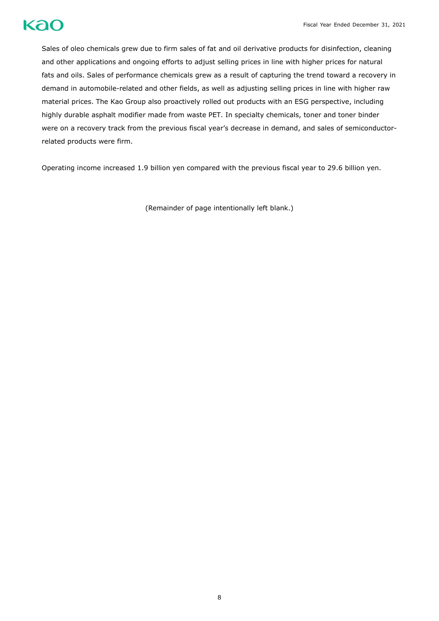

Sales of oleo chemicals grew due to firm sales of fat and oil derivative products for disinfection, cleaning and other applications and ongoing efforts to adjust selling prices in line with higher prices for natural fats and oils. Sales of performance chemicals grew as a result of capturing the trend toward a recovery in demand in automobile-related and other fields, as well as adjusting selling prices in line with higher raw material prices. The Kao Group also proactively rolled out products with an ESG perspective, including highly durable asphalt modifier made from waste PET. In specialty chemicals, toner and toner binder were on a recovery track from the previous fiscal year's decrease in demand, and sales of semiconductorrelated products were firm.

Operating income increased 1.9 billion yen compared with the previous fiscal year to 29.6 billion yen.

(Remainder of page intentionally left blank.)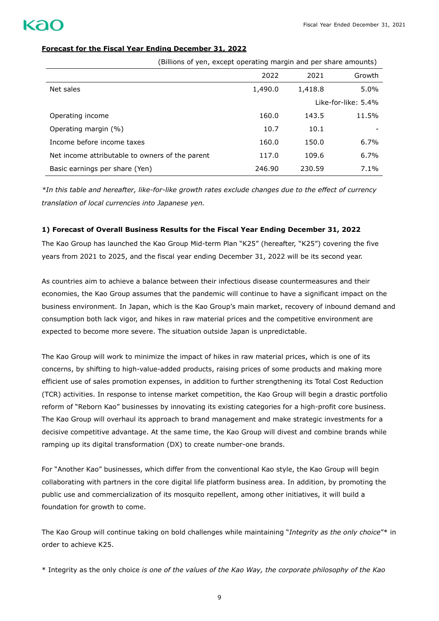

## **Forecast for the Fiscal Year Ending December 31, 2022**

(Billions of yen, except operating margin and per share amounts)

|                                                 | 2022    | 2021    | Growth              |
|-------------------------------------------------|---------|---------|---------------------|
| Net sales                                       | 1,490.0 | 1,418.8 | 5.0%                |
|                                                 |         |         | Like-for-like: 5.4% |
| Operating income                                | 160.0   | 143.5   | 11.5%               |
| Operating margin (%)                            | 10.7    | 10.1    |                     |
| Income before income taxes                      | 160.0   | 150.0   | 6.7%                |
| Net income attributable to owners of the parent | 117.0   | 109.6   | 6.7%                |
| Basic earnings per share (Yen)                  | 246.90  | 230.59  | $7.1\%$             |

*\*In this table and hereafter, like-for-like growth rates exclude changes due to the effect of currency translation of local currencies into Japanese yen.*

### **1) Forecast of Overall Business Results for the Fiscal Year Ending December 31, 2022**

The Kao Group has launched the Kao Group Mid-term Plan "K25" (hereafter, "K25") covering the five years from 2021 to 2025, and the fiscal year ending December 31, 2022 will be its second year.

As countries aim to achieve a balance between their infectious disease countermeasures and their economies, the Kao Group assumes that the pandemic will continue to have a significant impact on the business environment. In Japan, which is the Kao Group's main market, recovery of inbound demand and consumption both lack vigor, and hikes in raw material prices and the competitive environment are expected to become more severe. The situation outside Japan is unpredictable.

The Kao Group will work to minimize the impact of hikes in raw material prices, which is one of its concerns, by shifting to high-value-added products, raising prices of some products and making more efficient use of sales promotion expenses, in addition to further strengthening its Total Cost Reduction (TCR) activities. In response to intense market competition, the Kao Group will begin a drastic portfolio reform of "Reborn Kao" businesses by innovating its existing categories for a high-profit core business. The Kao Group will overhaul its approach to brand management and make strategic investments for a decisive competitive advantage. At the same time, the Kao Group will divest and combine brands while ramping up its digital transformation (DX) to create number-one brands.

For "Another Kao" businesses, which differ from the conventional Kao style, the Kao Group will begin collaborating with partners in the core digital life platform business area. In addition, by promoting the public use and commercialization of its mosquito repellent, among other initiatives, it will build a foundation for growth to come.

The Kao Group will continue taking on bold challenges while maintaining "*Integrity as the only choice*"\* in order to achieve K25.

\* Integrity as the only choice *is one of the values of the Kao Way, the corporate philosophy of the Kao*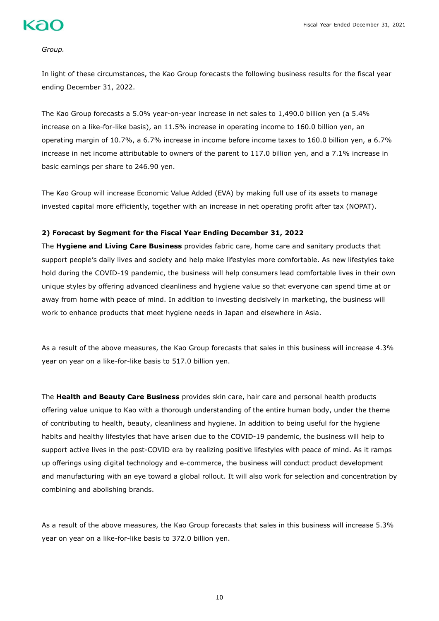

#### *Group.*

In light of these circumstances, the Kao Group forecasts the following business results for the fiscal year ending December 31, 2022.

The Kao Group forecasts a 5.0% year-on-year increase in net sales to 1,490.0 billion yen (a 5.4% increase on a like-for-like basis), an 11.5% increase in operating income to 160.0 billion yen, an operating margin of 10.7%, a 6.7% increase in income before income taxes to 160.0 billion yen, a 6.7% increase in net income attributable to owners of the parent to 117.0 billion yen, and a 7.1% increase in basic earnings per share to 246.90 yen.

The Kao Group will increase Economic Value Added (EVA) by making full use of its assets to manage invested capital more efficiently, together with an increase in net operating profit after tax (NOPAT).

#### **2) Forecast by Segment for the Fiscal Year Ending December 31, 2022**

The **Hygiene and Living Care Business** provides fabric care, home care and sanitary products that support people's daily lives and society and help make lifestyles more comfortable. As new lifestyles take hold during the COVID-19 pandemic, the business will help consumers lead comfortable lives in their own unique styles by offering advanced cleanliness and hygiene value so that everyone can spend time at or away from home with peace of mind. In addition to investing decisively in marketing, the business will work to enhance products that meet hygiene needs in Japan and elsewhere in Asia.

As a result of the above measures, the Kao Group forecasts that sales in this business will increase 4.3% year on year on a like-for-like basis to 517.0 billion yen.

The **Health and Beauty Care Business** provides skin care, hair care and personal health products offering value unique to Kao with a thorough understanding of the entire human body, under the theme of contributing to health, beauty, cleanliness and hygiene. In addition to being useful for the hygiene habits and healthy lifestyles that have arisen due to the COVID-19 pandemic, the business will help to support active lives in the post-COVID era by realizing positive lifestyles with peace of mind. As it ramps up offerings using digital technology and e-commerce, the business will conduct product development and manufacturing with an eye toward a global rollout. It will also work for selection and concentration by combining and abolishing brands.

As a result of the above measures, the Kao Group forecasts that sales in this business will increase 5.3% year on year on a like-for-like basis to 372.0 billion yen.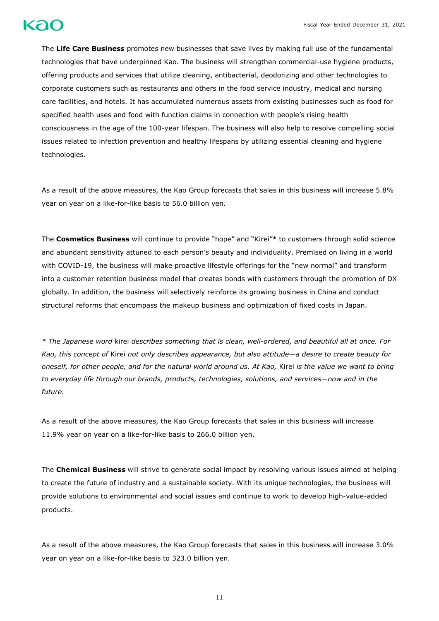The **Life Care Business** promotes new businesses that save lives by making full use of the fundamental technologies that have underpinned Kao. The business will strengthen commercial-use hygiene products, offering products and services that utilize cleaning, antibacterial, deodorizing and other technologies to corporate customers such as restaurants and others in the food service industry, medical and nursing care facilities, and hotels. It has accumulated numerous assets from existing businesses such as food for specified health uses and food with function claims in connection with people's rising health consciousness in the age of the 100-year lifespan. The business will also help to resolve compelling social issues related to infection prevention and healthy lifespans by utilizing essential cleaning and hygiene technologies.

As a result of the above measures, the Kao Group forecasts that sales in this business will increase 5.8% year on year on a like-for-like basis to 56.0 billion yen.

The **Cosmetics Business** will continue to provide "hope" and "Kirei"\* to customers through solid science and abundant sensitivity attuned to each person's beauty and individuality. Premised on living in a world with COVID-19, the business will make proactive lifestyle offerings for the "new normal" and transform into a customer retention business model that creates bonds with customers through the promotion of DX globally. In addition, the business will selectively reinforce its growing business in China and conduct structural reforms that encompass the makeup business and optimization of fixed costs in Japan.

*\* The Japanese word* kirei *describes something that is clean, well-ordered, and beautiful all at once. For Kao, this concept of* Kirei *not only describes appearance, but also attitude—a desire to create beauty for oneself, for other people, and for the natural world around us. At Kao,* Kirei *is the value we want to bring to everyday life through our brands, products, technologies, solutions, and services—now and in the future.*

As a result of the above measures, the Kao Group forecasts that sales in this business will increase 11.9% year on year on a like-for-like basis to 266.0 billion yen.

The **Chemical Business** will strive to generate social impact by resolving various issues aimed at helping to create the future of industry and a sustainable society. With its unique technologies, the business will provide solutions to environmental and social issues and continue to work to develop high-value-added products.

As a result of the above measures, the Kao Group forecasts that sales in this business will increase 3.0% year on year on a like-for-like basis to 323.0 billion yen.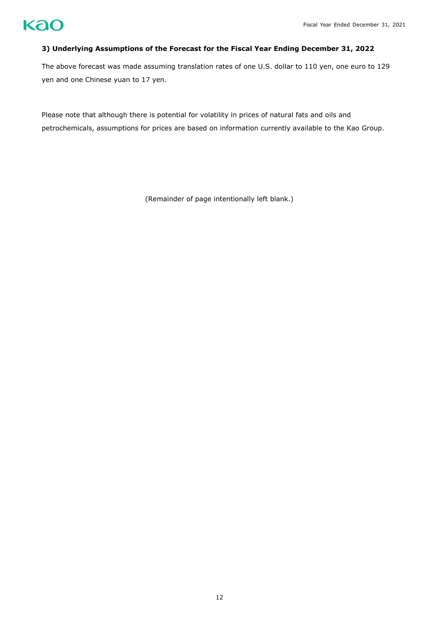## **3) Underlying Assumptions of the Forecast for the Fiscal Year Ending December 31, 2022**

The above forecast was made assuming translation rates of one U.S. dollar to 110 yen, one euro to 129 yen and one Chinese yuan to 17 yen.

Please note that although there is potential for volatility in prices of natural fats and oils and petrochemicals, assumptions for prices are based on information currently available to the Kao Group.

(Remainder of page intentionally left blank.)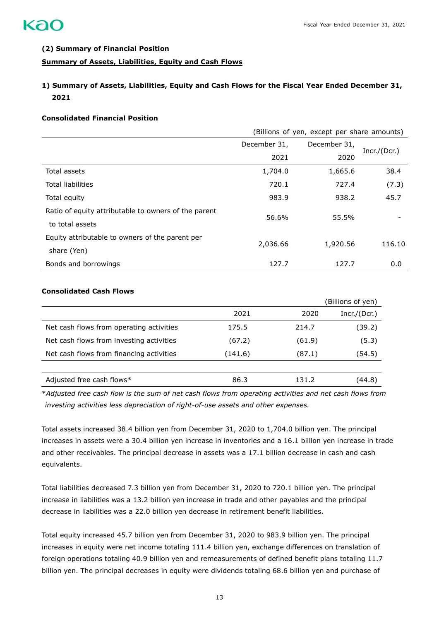### **(2) Summary of Financial Position**

## **Summary of Assets, Liabilities, Equity and Cash Flows**

# **1) Summary of Assets, Liabilities, Equity and Cash Flows for the Fiscal Year Ended December 31, 2021**

#### **Consolidated Financial Position**

|                                                      | (Billions of yen, except per share amounts) |              |                |  |  |
|------------------------------------------------------|---------------------------------------------|--------------|----------------|--|--|
|                                                      | December 31,                                | December 31, |                |  |  |
|                                                      | 2021                                        | 2020         | Incr. / (Dcr.) |  |  |
| Total assets                                         | 1,704.0                                     | 1,665.6      | 38.4           |  |  |
| <b>Total liabilities</b>                             | 720.1                                       | 727.4        | (7.3)          |  |  |
| Total equity                                         | 983.9                                       | 938.2        | 45.7           |  |  |
| Ratio of equity attributable to owners of the parent | 56.6%                                       | 55.5%        |                |  |  |
| to total assets                                      |                                             |              |                |  |  |
| Equity attributable to owners of the parent per      |                                             |              | 116.10         |  |  |
| share (Yen)                                          | 2,036.66                                    | 1,920.56     |                |  |  |
| Bonds and borrowings                                 | 127.7                                       | 127.7        | 0.0            |  |  |

## **Consolidated Cash Flows**

|                                          |         |        | (Billions of yen) |
|------------------------------------------|---------|--------|-------------------|
|                                          | 2021    | 2020   | Incr./(Dcr.)      |
| Net cash flows from operating activities | 175.5   | 214.7  | (39.2)            |
| Net cash flows from investing activities | (67.2)  | (61.9) | (5.3)             |
| Net cash flows from financing activities | (141.6) | (87.1) | (54.5)            |
|                                          |         |        |                   |
| Adjusted free cash flows*                | 86.3    | 131.2  | 44.8)             |

\**Adjusted free cash flow is the sum of net cash flows from operating activities and net cash flows from investing activities less depreciation of right-of-use assets and other expenses.*

Total assets increased 38.4 billion yen from December 31, 2020 to 1,704.0 billion yen. The principal increases in assets were a 30.4 billion yen increase in inventories and a 16.1 billion yen increase in trade and other receivables. The principal decrease in assets was a 17.1 billion decrease in cash and cash equivalents.

Total liabilities decreased 7.3 billion yen from December 31, 2020 to 720.1 billion yen. The principal increase in liabilities was a 13.2 billion yen increase in trade and other payables and the principal decrease in liabilities was a 22.0 billion yen decrease in retirement benefit liabilities.

Total equity increased 45.7 billion yen from December 31, 2020 to 983.9 billion yen. The principal increases in equity were net income totaling 111.4 billion yen, exchange differences on translation of foreign operations totaling 40.9 billion yen and remeasurements of defined benefit plans totaling 11.7 billion yen. The principal decreases in equity were dividends totaling 68.6 billion yen and purchase of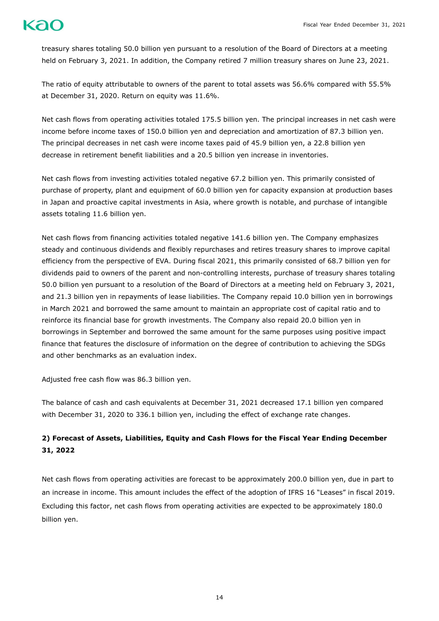treasury shares totaling 50.0 billion yen pursuant to a resolution of the Board of Directors at a meeting held on February 3, 2021. In addition, the Company retired 7 million treasury shares on June 23, 2021.

The ratio of equity attributable to owners of the parent to total assets was 56.6% compared with 55.5% at December 31, 2020. Return on equity was 11.6%.

Net cash flows from operating activities totaled 175.5 billion yen. The principal increases in net cash were income before income taxes of 150.0 billion yen and depreciation and amortization of 87.3 billion yen. The principal decreases in net cash were income taxes paid of 45.9 billion yen, a 22.8 billion yen decrease in retirement benefit liabilities and a 20.5 billion yen increase in inventories.

Net cash flows from investing activities totaled negative 67.2 billion yen. This primarily consisted of purchase of property, plant and equipment of 60.0 billion yen for capacity expansion at production bases in Japan and proactive capital investments in Asia, where growth is notable, and purchase of intangible assets totaling 11.6 billion yen.

Net cash flows from financing activities totaled negative 141.6 billion yen. The Company emphasizes steady and continuous dividends and flexibly repurchases and retires treasury shares to improve capital efficiency from the perspective of EVA. During fiscal 2021, this primarily consisted of 68.7 billion yen for dividends paid to owners of the parent and non-controlling interests, purchase of treasury shares totaling 50.0 billion yen pursuant to a resolution of the Board of Directors at a meeting held on February 3, 2021, and 21.3 billion yen in repayments of lease liabilities. The Company repaid 10.0 billion yen in borrowings in March 2021 and borrowed the same amount to maintain an appropriate cost of capital ratio and to reinforce its financial base for growth investments. The Company also repaid 20.0 billion yen in borrowings in September and borrowed the same amount for the same purposes using positive impact finance that features the disclosure of information on the degree of contribution to achieving the SDGs and other benchmarks as an evaluation index.

Adjusted free cash flow was 86.3 billion yen.

The balance of cash and cash equivalents at December 31, 2021 decreased 17.1 billion yen compared with December 31, 2020 to 336.1 billion yen, including the effect of exchange rate changes.

# **2) Forecast of Assets, Liabilities, Equity and Cash Flows for the Fiscal Year Ending December 31, 2022**

Net cash flows from operating activities are forecast to be approximately 200.0 billion yen, due in part to an increase in income. This amount includes the effect of the adoption of IFRS 16 "Leases" in fiscal 2019. Excluding this factor, net cash flows from operating activities are expected to be approximately 180.0 billion yen.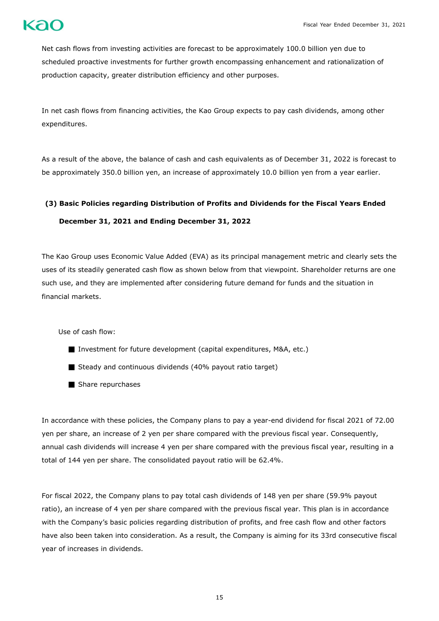

Net cash flows from investing activities are forecast to be approximately 100.0 billion yen due to scheduled proactive investments for further growth encompassing enhancement and rationalization of production capacity, greater distribution efficiency and other purposes.

In net cash flows from financing activities, the Kao Group expects to pay cash dividends, among other expenditures.

As a result of the above, the balance of cash and cash equivalents as of December 31, 2022 is forecast to be approximately 350.0 billion yen, an increase of approximately 10.0 billion yen from a year earlier.

## **(3) Basic Policies regarding Distribution of Profits and Dividends for the Fiscal Years Ended**

## **December 31, 2021 and Ending December 31, 2022**

The Kao Group uses Economic Value Added (EVA) as its principal management metric and clearly sets the uses of its steadily generated cash flow as shown below from that viewpoint. Shareholder returns are one such use, and they are implemented after considering future demand for funds and the situation in financial markets.

Use of cash flow:

- Investment for future development (capital expenditures, M&A, etc.)
- Steady and continuous dividends (40% payout ratio target)
- Share repurchases

In accordance with these policies, the Company plans to pay a year-end dividend for fiscal 2021 of 72.00 yen per share, an increase of 2 yen per share compared with the previous fiscal year. Consequently, annual cash dividends will increase 4 yen per share compared with the previous fiscal year, resulting in a total of 144 yen per share. The consolidated payout ratio will be 62.4%.

For fiscal 2022, the Company plans to pay total cash dividends of 148 yen per share (59.9% payout ratio), an increase of 4 yen per share compared with the previous fiscal year. This plan is in accordance with the Company's basic policies regarding distribution of profits, and free cash flow and other factors have also been taken into consideration. As a result, the Company is aiming for its 33rd consecutive fiscal year of increases in dividends.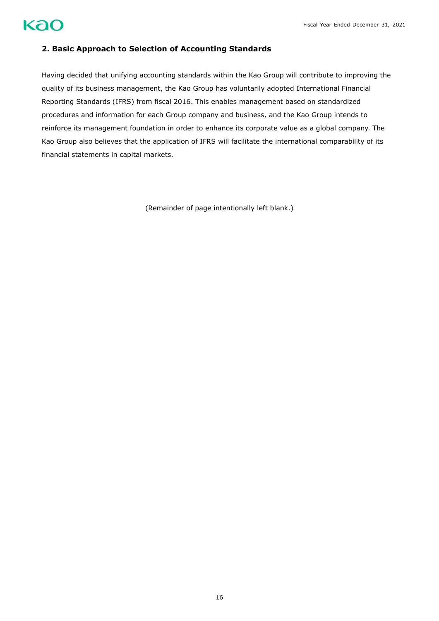

# **2. Basic Approach to Selection of Accounting Standards**

Having decided that unifying accounting standards within the Kao Group will contribute to improving the quality of its business management, the Kao Group has voluntarily adopted International Financial Reporting Standards (IFRS) from fiscal 2016. This enables management based on standardized procedures and information for each Group company and business, and the Kao Group intends to reinforce its management foundation in order to enhance its corporate value as a global company. The Kao Group also believes that the application of IFRS will facilitate the international comparability of its financial statements in capital markets.

(Remainder of page intentionally left blank.)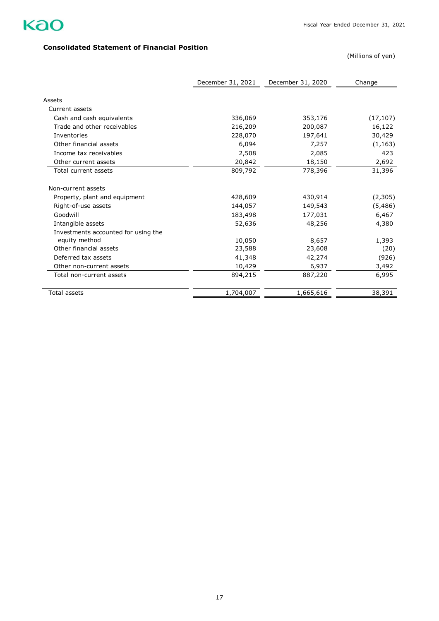

# **Consolidated Statement of Financial Position**

|                                     | December 31, 2021 | December 31, 2020 | Change    |
|-------------------------------------|-------------------|-------------------|-----------|
| Assets                              |                   |                   |           |
| Current assets                      |                   |                   |           |
| Cash and cash equivalents           | 336,069           | 353,176           | (17, 107) |
| Trade and other receivables         | 216,209           | 200,087           | 16,122    |
| Inventories                         | 228,070           | 197,641           | 30,429    |
| Other financial assets              | 6,094             | 7,257             | (1, 163)  |
| Income tax receivables              | 2,508             | 2,085             | 423       |
| Other current assets                | 20,842            | 18,150            | 2,692     |
| Total current assets                | 809,792           | 778,396           | 31,396    |
| Non-current assets                  |                   |                   |           |
| Property, plant and equipment       | 428,609           | 430,914           | (2,305)   |
| Right-of-use assets                 | 144,057           | 149,543           | (5, 486)  |
| Goodwill                            | 183,498           | 177,031           | 6,467     |
| Intangible assets                   | 52,636            | 48,256            | 4,380     |
| Investments accounted for using the |                   |                   |           |
| equity method                       | 10,050            | 8,657             | 1,393     |
| Other financial assets              | 23,588            | 23,608            | (20)      |
| Deferred tax assets                 | 41,348            | 42,274            | (926)     |
| Other non-current assets            | 10,429            | 6,937             | 3,492     |
| Total non-current assets            | 894,215           | 887,220           | 6,995     |
| <b>Total assets</b>                 | 1,704,007         | 1,665,616         | 38,391    |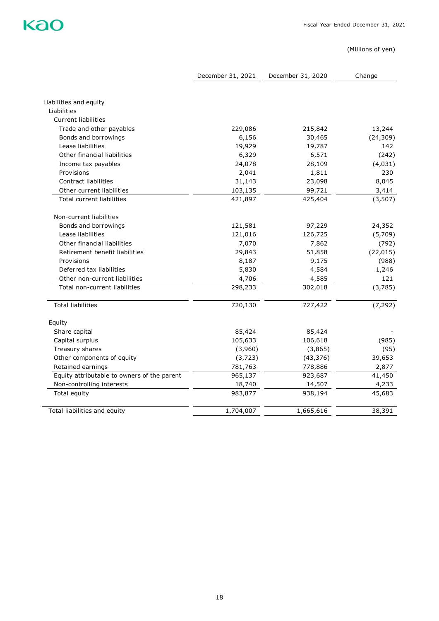

|                                             | December 31, 2021 | December 31, 2020 | Change    |
|---------------------------------------------|-------------------|-------------------|-----------|
|                                             |                   |                   |           |
| Liabilities and equity                      |                   |                   |           |
| Liabilities                                 |                   |                   |           |
| <b>Current liabilities</b>                  |                   |                   |           |
| Trade and other payables                    | 229,086           | 215,842           | 13,244    |
| Bonds and borrowings                        | 6,156             | 30,465            | (24, 309) |
| Lease liabilities                           | 19,929            | 19,787            | 142       |
| Other financial liabilities                 | 6,329             | 6,571             | (242)     |
| Income tax payables                         | 24,078            | 28,109            | (4,031)   |
| Provisions                                  | 2,041             | 1,811             | 230       |
| Contract liabilities                        | 31,143            | 23,098            | 8,045     |
| Other current liabilities                   | 103,135           | 99,721            | 3,414     |
| Total current liabilities                   | 421,897           | 425,404           | (3, 507)  |
| Non-current liabilities                     |                   |                   |           |
| Bonds and borrowings                        | 121,581           | 97,229            | 24,352    |
| Lease liabilities                           | 121,016           | 126,725           | (5,709)   |
| Other financial liabilities                 | 7,070             | 7,862             | (792)     |
| Retirement benefit liabilities              | 29,843            | 51,858            | (22, 015) |
| Provisions                                  | 8,187             | 9,175             | (988)     |
| Deferred tax liabilities                    | 5,830             | 4,584             | 1,246     |
| Other non-current liabilities               | 4,706             | 4,585             | 121       |
| Total non-current liabilities               | 298,233           | 302,018           | (3,785)   |
| <b>Total liabilities</b>                    | 720,130           | 727,422           | (7, 292)  |
| Equity                                      |                   |                   |           |
| Share capital                               | 85,424            | 85,424            |           |
| Capital surplus                             | 105,633           | 106,618           | (985)     |
| Treasury shares                             | (3,960)           | (3,865)           | (95)      |
| Other components of equity                  | (3,723)           | (43, 376)         | 39,653    |
| Retained earnings                           | 781,763           | 778,886           | 2,877     |
| Equity attributable to owners of the parent | 965,137           | 923,687           | 41,450    |
| Non-controlling interests                   | 18,740            | 14,507            | 4,233     |
| Total equity                                | 983,877           | 938,194           | 45,683    |
| Total liabilities and equity                | 1,704,007         | 1,665,616         | 38,391    |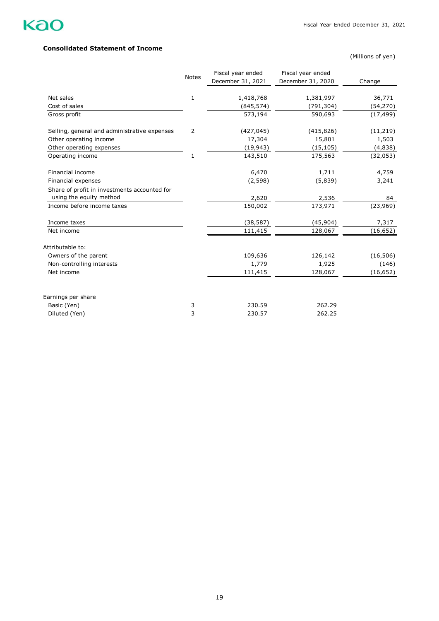

## **Consolidated Statement of Income**

|                                              | <b>Notes</b> | Fiscal year ended<br>December 31, 2021 | Fiscal year ended<br>December 31, 2020 | Change    |
|----------------------------------------------|--------------|----------------------------------------|----------------------------------------|-----------|
| Net sales                                    | 1            | 1,418,768                              | 1,381,997                              | 36,771    |
| Cost of sales                                |              | (845, 574)                             | (791, 304)                             | (54, 270) |
| Gross profit                                 |              | 573,194                                | 590,693                                | (17, 499) |
| Selling, general and administrative expenses | 2            | (427, 045)                             | (415, 826)                             | (11,219)  |
| Other operating income                       |              | 17,304                                 | 15,801                                 | 1,503     |
| Other operating expenses                     |              | (19, 943)                              | (15, 105)                              | (4,838)   |
| Operating income                             | 1            | 143,510                                | 175,563                                | (32, 053) |
| Financial income                             |              | 6,470                                  | 1,711                                  | 4,759     |
| Financial expenses                           |              | (2,598)                                | (5,839)                                | 3,241     |
| Share of profit in investments accounted for |              |                                        |                                        |           |
| using the equity method                      |              | 2,620                                  | 2,536                                  | 84        |
| Income before income taxes                   |              | 150,002                                | 173,971                                | (23,969)  |
| Income taxes                                 |              | (38, 587)                              | (45,904)                               | 7,317     |
| Net income                                   |              | 111,415                                | 128,067                                | (16, 652) |
| Attributable to:                             |              |                                        |                                        |           |
| Owners of the parent                         |              | 109,636                                | 126,142                                | (16, 506) |
| Non-controlling interests                    |              | 1,779                                  | 1,925                                  | (146)     |
| Net income                                   |              | 111,415                                | 128,067                                | (16, 652) |
| Earnings per share                           |              |                                        |                                        |           |
| Basic (Yen)                                  | 3            | 230.59                                 | 262.29                                 |           |
| Diluted (Yen)                                | 3            | 230.57                                 | 262.25                                 |           |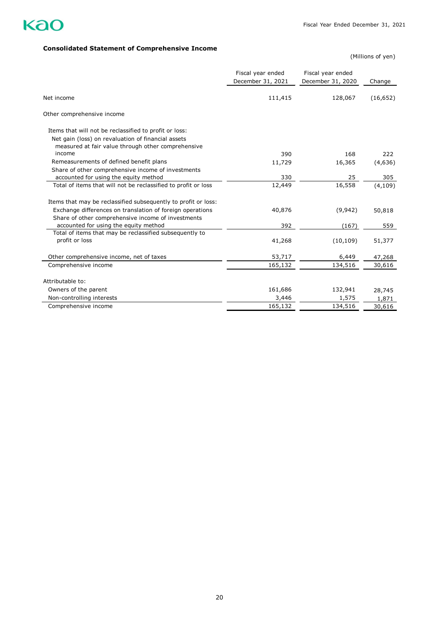

# **Consolidated Statement of Comprehensive Income**

|                                                                                                                                                                    | Fiscal year ended<br>December 31, 2021 | Fiscal year ended<br>December 31, 2020 | Change    |
|--------------------------------------------------------------------------------------------------------------------------------------------------------------------|----------------------------------------|----------------------------------------|-----------|
| Net income                                                                                                                                                         | 111,415                                | 128,067                                | (16, 652) |
| Other comprehensive income                                                                                                                                         |                                        |                                        |           |
| Items that will not be reclassified to profit or loss:<br>Net gain (loss) on revaluation of financial assets<br>measured at fair value through other comprehensive |                                        |                                        |           |
| income                                                                                                                                                             | 390                                    | 168                                    | 222       |
| Remeasurements of defined benefit plans<br>Share of other comprehensive income of investments                                                                      | 11,729                                 | 16,365                                 | (4,636)   |
| accounted for using the equity method                                                                                                                              | 330                                    | 25                                     | 305       |
| Total of items that will not be reclassified to profit or loss                                                                                                     | 12,449                                 | 16,558                                 | (4, 109)  |
| Items that may be reclassified subsequently to profit or loss:                                                                                                     |                                        |                                        |           |
| Exchange differences on translation of foreign operations<br>Share of other comprehensive income of investments                                                    | 40,876                                 | (9,942)                                | 50,818    |
| accounted for using the equity method                                                                                                                              | 392                                    | (167)                                  | 559       |
| Total of items that may be reclassified subsequently to<br>profit or loss                                                                                          | 41,268                                 | (10, 109)                              | 51,377    |
| Other comprehensive income, net of taxes                                                                                                                           | 53,717                                 | 6,449                                  | 47,268    |
| Comprehensive income                                                                                                                                               | 165,132                                | 134,516                                | 30,616    |
| Attributable to:                                                                                                                                                   |                                        |                                        |           |
| Owners of the parent                                                                                                                                               | 161,686                                | 132,941                                | 28,745    |
| Non-controlling interests                                                                                                                                          | 3,446                                  | 1,575                                  | 1,871     |
| Comprehensive income                                                                                                                                               | 165,132                                | 134,516                                | 30,616    |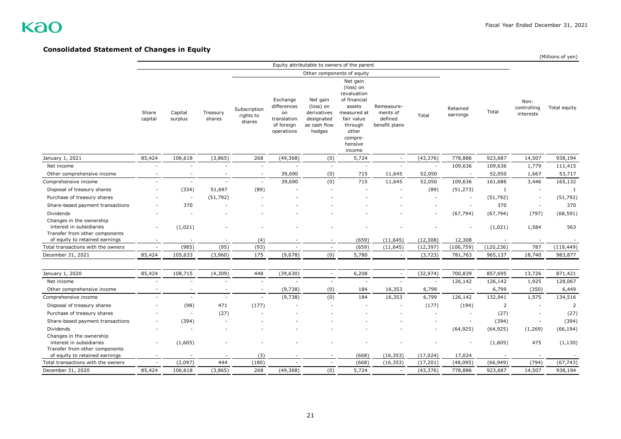## **Consolidated Statement of Changes in Equity**

|                                                                                        |                  |                    |                          |                                     |                                                                          | Equity attributable to owners of the parent                                  |                                                                                                                                                 |                                                    |                          |                      |                |                                  |                |
|----------------------------------------------------------------------------------------|------------------|--------------------|--------------------------|-------------------------------------|--------------------------------------------------------------------------|------------------------------------------------------------------------------|-------------------------------------------------------------------------------------------------------------------------------------------------|----------------------------------------------------|--------------------------|----------------------|----------------|----------------------------------|----------------|
|                                                                                        |                  |                    |                          |                                     |                                                                          | Other components of equity                                                   |                                                                                                                                                 |                                                    |                          |                      |                |                                  |                |
|                                                                                        | Share<br>capital | Capital<br>surplus | Treasury<br>shares       | Subscription<br>rights to<br>shares | Exchange<br>differences<br>on<br>translation<br>of foreign<br>operations | Net gain<br>(loss) on<br>derivatives<br>designated<br>as cash flow<br>hedges | Net gain<br>(loss) on<br>revaluation<br>of financial<br>assets<br>measured at<br>fair value<br>through<br>other<br>compre-<br>hensive<br>income | Remeasure-<br>ments of<br>defined<br>benefit plans | Total                    | Retained<br>earnings | Total          | Non-<br>controlling<br>interests | Total equity   |
| January 1, 2021                                                                        | 85,424           | 106,618            | (3,865)                  | 268                                 | (49, 368)                                                                | (0)                                                                          | 5,724                                                                                                                                           |                                                    | (43, 376)                | 778,886              | 923,687        | 14,507                           | 938,194        |
| Net income                                                                             |                  |                    |                          | $\sim$                              |                                                                          | $\overline{\phantom{a}}$                                                     |                                                                                                                                                 |                                                    |                          | 109,636              | 109,636        | 1,779                            | 111,415        |
| Other comprehensive income                                                             |                  |                    |                          | $\overline{\phantom{a}}$            | 39,690                                                                   | (0)                                                                          | 715                                                                                                                                             | 11,645                                             | 52,050                   |                      | 52,050         | 1,667                            | 53,717         |
| Comprehensive income                                                                   |                  | $\sim$             | $\sim$                   | $\sim$                              | 39,690                                                                   | (0)                                                                          | 715                                                                                                                                             | 11,645                                             | 52,050                   | 109,636              | 161,686        | 3,446                            | 165,132        |
| Disposal of treasury shares                                                            |                  | (334)              | 51,697                   | (89)                                |                                                                          |                                                                              |                                                                                                                                                 |                                                    | (89)                     | (51, 273)            | $\mathbf{1}$   |                                  | 1              |
| Purchase of treasury shares                                                            |                  |                    | (51, 792)                |                                     |                                                                          |                                                                              |                                                                                                                                                 |                                                    |                          |                      | (51, 792)      |                                  | (51, 792)      |
| Share-based payment transactions                                                       |                  | 370                |                          |                                     |                                                                          |                                                                              |                                                                                                                                                 |                                                    |                          |                      | 370            | $\overline{\phantom{a}}$         | 370            |
| Dividends                                                                              |                  |                    |                          |                                     |                                                                          |                                                                              |                                                                                                                                                 |                                                    | $\overline{\phantom{a}}$ | (67, 794)            | (67, 794)      | (797)                            | (68, 591)      |
| Changes in the ownership<br>interest in subsidiaries<br>Transfer from other components |                  | (1,021)            |                          |                                     |                                                                          |                                                                              |                                                                                                                                                 |                                                    |                          |                      | (1,021)        | 1,584                            | 563            |
| of equity to retained earnings                                                         |                  |                    |                          | (4)                                 |                                                                          |                                                                              | (659)                                                                                                                                           | (11, 645)                                          | (12, 308)                | 12,308               |                |                                  |                |
| Total transactions with the owners                                                     |                  | (985)              | (95)                     | (93)                                |                                                                          | $\blacksquare$                                                               | (659)                                                                                                                                           | (11, 645)                                          | (12, 397)                | (106, 759)           | (120, 236)     | 787                              | (119, 449)     |
| December 31, 2021                                                                      | 85,424           | 105,633            | (3,960)                  | 175                                 | (9,678)                                                                  | (0)                                                                          | 5,780                                                                                                                                           | $\sim$                                             | (3, 723)                 | 781,763              | 965,137        | 18,740                           | 983,877        |
| January 1, 2020                                                                        | 85,424           | 108,715            | (4, 309)                 | 448                                 | (39, 630)                                                                | $\overline{a}$                                                               | 6,208                                                                                                                                           |                                                    | (32, 974)                | 700,839              | 857,695        | 13,726                           | 871,421        |
| Net income                                                                             |                  |                    |                          | $\sim$                              |                                                                          |                                                                              |                                                                                                                                                 | $\sim$                                             | $\sim$                   | 126,142              | 126,142        | 1,925                            | 128,067        |
| Other comprehensive income                                                             |                  |                    |                          | $\blacksquare$                      | (9,738)                                                                  | (0)                                                                          | 184                                                                                                                                             | 16,353                                             | 6,799                    | $\sim$               | 6,799          | (350)                            | 6,449          |
| Comprehensive income                                                                   |                  |                    | $\overline{\phantom{a}}$ | $\blacksquare$                      | (9,738)                                                                  | (0)                                                                          | 184                                                                                                                                             | 16,353                                             | 6,799                    | 126,142              | 132,941        | 1,575                            | 134,516        |
| Disposal of treasury shares                                                            |                  | (98)               | 471                      | (177)                               |                                                                          |                                                                              |                                                                                                                                                 |                                                    | (177)                    | (194)                | $\overline{2}$ | $\sim$                           | $\overline{2}$ |
| Purchase of treasury shares                                                            |                  |                    | (27)                     |                                     |                                                                          |                                                                              |                                                                                                                                                 |                                                    |                          |                      | (27)           |                                  | (27)           |
| Share-based payment transactions                                                       |                  | (394)              |                          |                                     |                                                                          |                                                                              |                                                                                                                                                 |                                                    |                          |                      | (394)          |                                  | (394)          |
| Dividends                                                                              |                  |                    |                          |                                     |                                                                          |                                                                              |                                                                                                                                                 |                                                    |                          | (64, 925)            | (64, 925)      | (1,269)                          | (66, 194)      |
| Changes in the ownership<br>interest in subsidiaries<br>Transfer from other components |                  | (1,605)            |                          |                                     |                                                                          |                                                                              |                                                                                                                                                 |                                                    |                          |                      | (1,605)        | 475                              | (1, 130)       |
| of equity to retained earnings                                                         |                  |                    |                          | (3)                                 |                                                                          |                                                                              | (668)                                                                                                                                           | (16, 353)                                          | (17, 024)                | 17,024               |                |                                  |                |
| Total transactions with the owners                                                     |                  | (2,097)            | 444                      | (180)                               |                                                                          |                                                                              | (668)                                                                                                                                           | (16, 353)                                          | (17, 201)                | (48,095)             | (66, 949)      | (794)                            | (67, 743)      |
| December 31, 2020                                                                      | 85,424           | 106,618            | (3,865)                  | 268                                 | (49, 368)                                                                | (0)                                                                          | 5,724                                                                                                                                           | $\blacksquare$                                     | (43, 376)                | 778,886              | 923,687        | 14,507                           | 938,194        |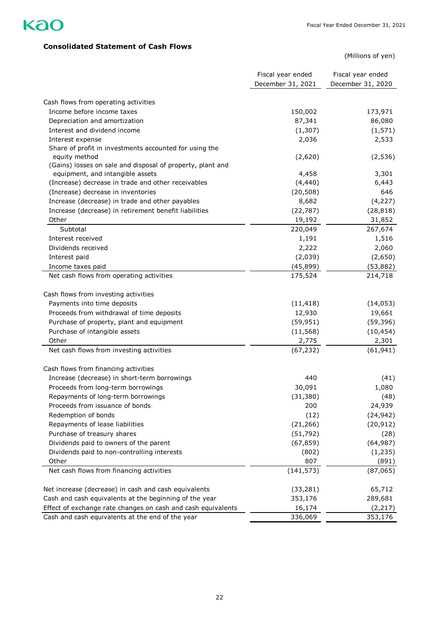

# **Consolidated Statement of Cash Flows**

|                                                                         | Fiscal year ended | Fiscal year ended |
|-------------------------------------------------------------------------|-------------------|-------------------|
|                                                                         | December 31, 2021 | December 31, 2020 |
|                                                                         |                   |                   |
| Cash flows from operating activities                                    |                   |                   |
| Income before income taxes                                              | 150,002           | 173,971           |
| Depreciation and amortization                                           | 87,341            | 86,080            |
| Interest and dividend income                                            | (1, 307)          | (1, 571)          |
| Interest expense                                                        | 2,036             | 2,533             |
| Share of profit in investments accounted for using the<br>equity method | (2,620)           |                   |
| (Gains) losses on sale and disposal of property, plant and              |                   | (2, 536)          |
| equipment, and intangible assets                                        | 4,458             | 3,301             |
| (Increase) decrease in trade and other receivables                      | (4, 440)          | 6,443             |
| (Increase) decrease in inventories                                      | (20, 508)         | 646               |
| Increase (decrease) in trade and other payables                         | 8,682             | (4, 227)          |
| Increase (decrease) in retirement benefit liabilities                   | (22, 787)         | (28, 818)         |
| Other                                                                   | 19,192            | 31,852            |
| Subtotal                                                                | 220,049           | 267,674           |
| Interest received                                                       | 1,191             | 1,516             |
| Dividends received                                                      | 2,222             | 2,060             |
| Interest paid                                                           | (2,039)           | (2,650)           |
| Income taxes paid                                                       | (45, 899)         | (53, 882)         |
| Net cash flows from operating activities                                | 175,524           | 214,718           |
|                                                                         |                   |                   |
| Cash flows from investing activities                                    |                   |                   |
| Payments into time deposits                                             | (11, 418)         | (14, 053)         |
| Proceeds from withdrawal of time deposits                               | 12,930            | 19,661            |
| Purchase of property, plant and equipment                               | (59, 951)         | (59, 396)         |
| Purchase of intangible assets                                           | (11, 568)         | (10, 454)         |
| Other                                                                   | 2,775             | 2,301             |
| Net cash flows from investing activities                                | (67, 232)         | (61, 941)         |
| Cash flows from financing activities                                    |                   |                   |
| Increase (decrease) in short-term borrowings                            | 440               | (41)              |
| Proceeds from long-term borrowings                                      | 30,091            | 1,080             |
| Repayments of long-term borrowings                                      | (31, 380)         | (48)              |
| Proceeds from issuance of bonds                                         | 200               | 24,939            |
| Redemption of bonds                                                     | (12)              | (24, 942)         |
| Repayments of lease liabilities                                         | (21, 266)         | (20, 912)         |
| Purchase of treasury shares                                             | (51, 792)         | (28)              |
| Dividends paid to owners of the parent                                  | (67, 859)         | (64, 987)         |
| Dividends paid to non-controlling interests                             | (802)             | (1, 235)          |
| Other                                                                   | 807               | (891)             |
| Net cash flows from financing activities                                | (141, 573)        | (87,065)          |
| Net increase (decrease) in cash and cash equivalents                    | (33, 281)         | 65,712            |
| Cash and cash equivalents at the beginning of the year                  | 353,176           | 289,681           |
| Effect of exchange rate changes on cash and cash equivalents            | 16,174            | (2,217)           |
| Cash and cash equivalents at the end of the year                        | 336,069           | 353,176           |
|                                                                         |                   |                   |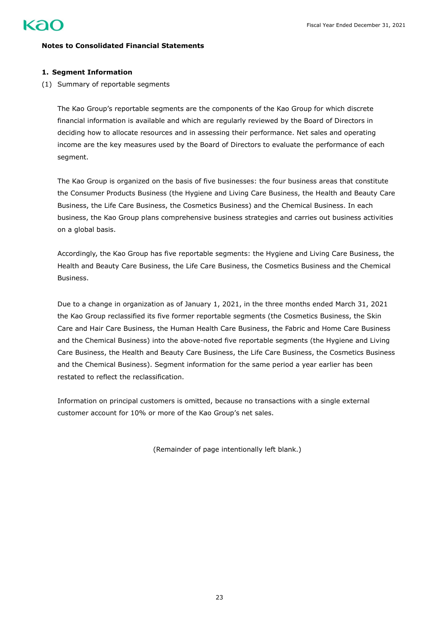

## **Notes to Consolidated Financial Statements**

### **1. Segment Information**

(1) Summary of reportable segments

The Kao Group's reportable segments are the components of the Kao Group for which discrete financial information is available and which are regularly reviewed by the Board of Directors in deciding how to allocate resources and in assessing their performance. Net sales and operating income are the key measures used by the Board of Directors to evaluate the performance of each segment.

The Kao Group is organized on the basis of five businesses: the four business areas that constitute the Consumer Products Business (the Hygiene and Living Care Business, the Health and Beauty Care Business, the Life Care Business, the Cosmetics Business) and the Chemical Business. In each business, the Kao Group plans comprehensive business strategies and carries out business activities on a global basis.

Accordingly, the Kao Group has five reportable segments: the Hygiene and Living Care Business, the Health and Beauty Care Business, the Life Care Business, the Cosmetics Business and the Chemical Business.

Due to a change in organization as of January 1, 2021, in the three months ended March 31, 2021 the Kao Group reclassified its five former reportable segments (the Cosmetics Business, the Skin Care and Hair Care Business, the Human Health Care Business, the Fabric and Home Care Business and the Chemical Business) into the above-noted five reportable segments (the Hygiene and Living Care Business, the Health and Beauty Care Business, the Life Care Business, the Cosmetics Business and the Chemical Business). Segment information for the same period a year earlier has been restated to reflect the reclassification.

Information on principal customers is omitted, because no transactions with a single external customer account for 10% or more of the Kao Group's net sales.

(Remainder of page intentionally left blank.)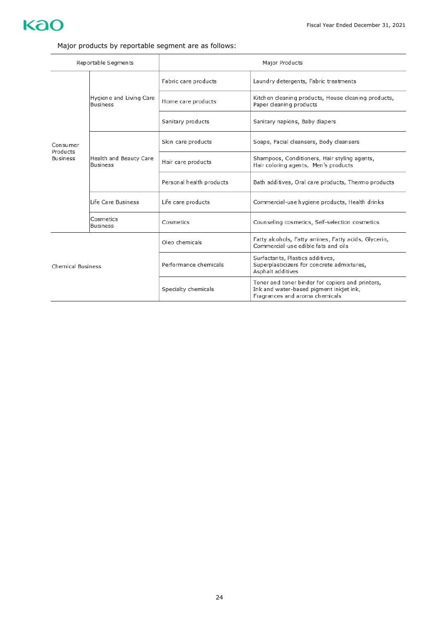

# Major products by reportable segment are as follows:

| Reportable Segments      |                                            | Major Products           |                                                                                                                               |  |  |
|--------------------------|--------------------------------------------|--------------------------|-------------------------------------------------------------------------------------------------------------------------------|--|--|
|                          |                                            | Fabric care products     | Laundry detergents, Fabric treatments                                                                                         |  |  |
|                          | Hygiene and Living Care<br><b>Business</b> | Home care products       | Kitchen cleaning products, House cleaning products,<br>Paper cleaning products                                                |  |  |
|                          |                                            | Sanitary products        | Sanitary napkins, Baby diapers                                                                                                |  |  |
| Consumer<br>Products     |                                            | Skin care products       | Soaps, Facial cleansers, Body cleansers                                                                                       |  |  |
| <b>Business</b>          | Health and Beauty Care<br><b>Business</b>  | Hair care products       | Shampoos, Conditioners, Hair styling agents,<br>Hair coloring agents, Men's products                                          |  |  |
|                          |                                            | Personal health products | Bath additives, Oral care products, Thermo products                                                                           |  |  |
|                          | Life Care Business                         | Life care products       | Commercial-use hygiene products, Health drinks                                                                                |  |  |
|                          | Cosmetics<br><b>Business</b>               | Cosmetics                | Counseling cosmetics, Self-selection cosmetics                                                                                |  |  |
|                          |                                            | Oleo chemicals           | Fatty alcohols, Fatty amines, Fatty acids, Glycerin,<br>Commercial-use edible fats and oils                                   |  |  |
| <b>Chemical Business</b> |                                            | Performance chemicals    | Surfactants, Plastics additives,<br>Superplasticizers for concrete admixtures,<br>Asphalt additives                           |  |  |
|                          |                                            | Specialty chemicals      | Toner and toner binder for copiers and printers,<br>Ink and water-based pigment inkjet ink,<br>Fragrances and aroma chemicals |  |  |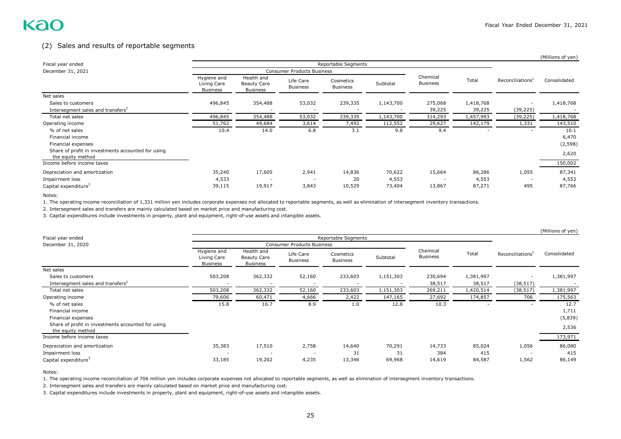# (2) Sales and results of reportable segments

|                                                                         |                                               |                                                     |                                   |                              |           |                             |           |                              | (Millions of yen) |
|-------------------------------------------------------------------------|-----------------------------------------------|-----------------------------------------------------|-----------------------------------|------------------------------|-----------|-----------------------------|-----------|------------------------------|-------------------|
| Fiscal year ended                                                       |                                               |                                                     |                                   | Reportable Segments          |           |                             |           |                              |                   |
| December 31, 2021                                                       |                                               |                                                     | <b>Consumer Products Business</b> |                              |           |                             |           |                              |                   |
|                                                                         | Hygiene and<br>Living Care<br><b>Business</b> | Health and<br><b>Beauty Care</b><br><b>Business</b> | Life Care<br><b>Business</b>      | Cosmetics<br><b>Business</b> | Subtotal  | Chemical<br><b>Business</b> | Total     | Reconciliations <sup>1</sup> | Consolidated      |
| Net sales                                                               |                                               |                                                     |                                   |                              |           |                             |           |                              |                   |
| Sales to customers                                                      | 496,845                                       | 354,488                                             | 53,032                            | 239,335                      | 1,143,700 | 275,068                     | 1,418,768 | $\overline{a}$               | 1,418,768         |
| Intersegment sales and transfers <sup>2</sup>                           |                                               |                                                     |                                   |                              |           | 39,225                      | 39,225    | (39, 225)                    |                   |
| Total net sales                                                         | 496,845                                       | 354,488                                             | 53,032                            | 239,335                      | 1,143,700 | 314,293                     | 1,457,993 | (39, 225)                    | 1,418,768         |
| Operating income                                                        | 51,762                                        | 49,684                                              | 3,614                             | 7,492                        | 112,552   | 29,627                      | 142,179   | 1,331                        | 143,510           |
| % of net sales                                                          | 10.4                                          | 14.0                                                | 6.8                               | 3.1                          | 9.8       | 9.4                         |           | $\overline{\phantom{a}}$     | 10.1              |
| Financial income                                                        |                                               |                                                     |                                   |                              |           |                             |           |                              | 6,470             |
| Financial expenses                                                      |                                               |                                                     |                                   |                              |           |                             |           |                              | (2,598)           |
| Share of profit in investments accounted for using<br>the equity method |                                               |                                                     |                                   |                              |           |                             |           |                              | 2,620             |
| Income before income taxes                                              |                                               |                                                     |                                   |                              |           |                             |           |                              | 150,002           |
| Depreciation and amortization                                           | 35,240                                        | 17,605                                              | 2,941                             | 14,836                       | 70,622    | 15,664                      | 86,286    | 1,055                        | 87,341            |
| Impairment loss                                                         | 4,533                                         |                                                     |                                   | 20                           | 4,553     |                             | 4,553     |                              | 4,553             |
| Capital expenditure <sup>3</sup>                                        | 39,115                                        | 19,917                                              | 3,843                             | 10,529                       | 73,404    | 13,867                      | 87,271    | 495                          | 87,766            |

Notes:

1. The operating income reconciliation of 1,331 million yen includes corporate expenses not allocated to reportable segments, as well as elimination of intersegment inventory transactions.

2. Intersegment sales and transfers are mainly calculated based on market price and manufacturing cost.

3. Capital expenditures include investments in property, plant and equipment, right-of-use assets and intangible assets.

|                                                                         |                                        |                                                     |                                   |                              |           |                             |           |                              | (Millions of yen) |
|-------------------------------------------------------------------------|----------------------------------------|-----------------------------------------------------|-----------------------------------|------------------------------|-----------|-----------------------------|-----------|------------------------------|-------------------|
| Fiscal year ended                                                       |                                        |                                                     |                                   | Reportable Segments          |           |                             |           |                              |                   |
| December 31, 2020                                                       |                                        |                                                     | <b>Consumer Products Business</b> |                              |           |                             |           |                              |                   |
|                                                                         | Hygiene and<br>Living Care<br>Business | Health and<br><b>Beauty Care</b><br><b>Business</b> | Life Care<br><b>Business</b>      | Cosmetics<br><b>Business</b> | Subtotal  | Chemical<br><b>Business</b> | Total     | Reconciliations <sup>1</sup> | Consolidated      |
| Net sales                                                               |                                        |                                                     |                                   |                              |           |                             |           |                              |                   |
| Sales to customers                                                      | 503,208                                | 362,332                                             | 52,160                            | 233,603                      | 1,151,303 | 230,694                     | 1,381,997 |                              | 1,381,997         |
| Intersegment sales and transfers <sup>2</sup>                           |                                        |                                                     |                                   |                              |           | 38,517                      | 38,517    | (38, 517)                    |                   |
| Total net sales                                                         | 503,208                                | 362,332                                             | 52,160                            | 233,603                      | 1,151,303 | 269,211                     | 1,420,514 | (38, 517)                    | 1,381,997         |
| Operating income                                                        | 79,606                                 | 60,471                                              | 4,666                             | 2,422                        | 147,165   | 27,692                      | 174,857   | 706                          | 175,563           |
| % of net sales                                                          | 15.8                                   | 16.7                                                | 8.9                               | 1.0                          | 12.8      | 10.3                        |           | $\overline{a}$               | 12.7              |
| Financial income                                                        |                                        |                                                     |                                   |                              |           |                             |           |                              | 1,711             |
| Financial expenses                                                      |                                        |                                                     |                                   |                              |           |                             |           |                              | (5,839)           |
| Share of profit in investments accounted for using<br>the equity method |                                        |                                                     |                                   |                              |           |                             |           |                              | 2,536             |
| Income before income taxes                                              |                                        |                                                     |                                   |                              |           |                             |           |                              | 173,971           |
| Depreciation and amortization                                           | 35,383                                 | 17,510                                              | 2,758                             | 14,640                       | 70,291    | 14,733                      | 85,024    | 1,056                        | 86,080            |
| Impairment loss                                                         |                                        |                                                     |                                   | 31                           | 31        | 384                         | 415       |                              | 415               |
| Capital expenditure <sup>3</sup>                                        | 33,185                                 | 19,202                                              | 4,235                             | 13,346                       | 69,968    | 14,619                      | 84,587    | 1,562                        | 86,149            |

Notes:

1. The operating income reconciliation of 706 million yen includes corporate expenses not allocated to reportable segments, as well as elimination of intersegment inventory transactions.

2. Intersegment sales and transfers are mainly calculated based on market price and manufacturing cost.

3. Capital expenditures include investments in property, plant and equipment, right-of-use assets and intangible assets.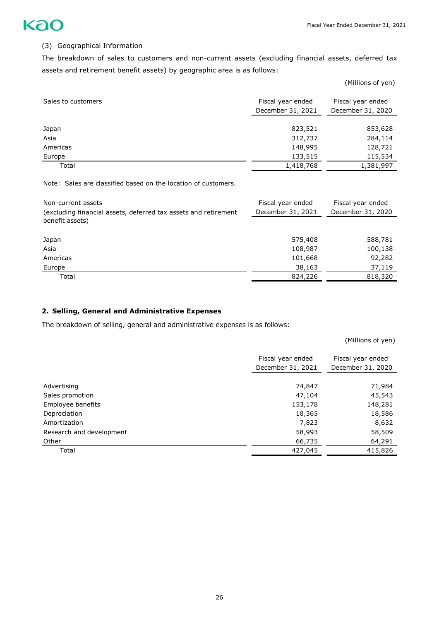

# (3) Geographical Information

The breakdown of sales to customers and non-current assets (excluding financial assets, deferred tax assets and retirement benefit assets) by geographic area is as follows:

|                    |                                        | (Millions of yen)                      |
|--------------------|----------------------------------------|----------------------------------------|
| Sales to customers | Fiscal year ended<br>December 31, 2021 | Fiscal year ended<br>December 31, 2020 |
| Japan              | 823,521                                | 853,628                                |
| Asia               | 312,737                                | 284,114                                |
| Americas           | 148,995                                | 128,721                                |
| Europe             | 133,515                                | 115,534                                |
| Total              | 1,418,768                              | 1,381,997                              |

Note: Sales are classified based on the location of customers.

| Non-current assets<br>(excluding financial assets, deferred tax assets and retirement | Fiscal year ended<br>December 31, 2021 | Fiscal year ended<br>December 31, 2020 |
|---------------------------------------------------------------------------------------|----------------------------------------|----------------------------------------|
| benefit assets)                                                                       |                                        |                                        |
| Japan                                                                                 | 575,408                                | 588,781                                |
| Asia                                                                                  | 108,987                                | 100,138                                |
| Americas                                                                              | 101,668                                | 92,282                                 |
| Europe                                                                                | 38,163                                 | 37,119                                 |
| Total                                                                                 | 824,226                                | 818,320                                |

# **2. Selling, General and Administrative Expenses**

The breakdown of selling, general and administrative expenses is as follows:

|                          | Fiscal year ended<br>December 31, 2021 | Fiscal year ended<br>December 31, 2020 |
|--------------------------|----------------------------------------|----------------------------------------|
|                          |                                        |                                        |
| Advertising              | 74,847                                 | 71,984                                 |
| Sales promotion          | 47,104                                 | 45,543                                 |
| Employee benefits        | 153,178                                | 148,281                                |
| Depreciation             | 18,365                                 | 18,586                                 |
| Amortization             | 7,823                                  | 8,632                                  |
| Research and development | 58,993                                 | 58,509                                 |
| Other                    | 66,735                                 | 64,291                                 |
| Total                    | 427,045                                | 415,826                                |